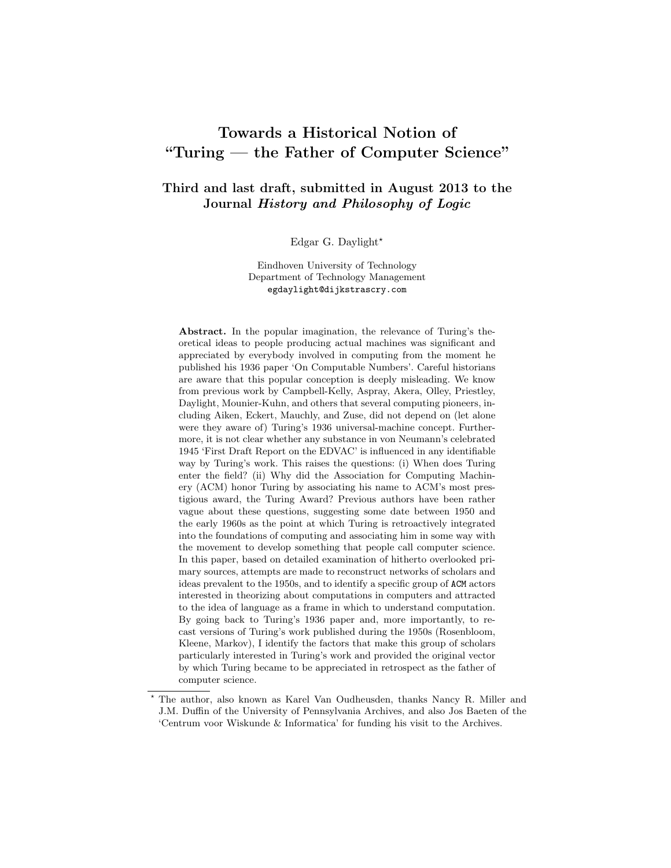# Towards a Historical Notion of "Turing — the Father of Computer Science"

## Third and last draft, submitted in August 2013 to the Journal History and Philosophy of Logic

Edgar G. Daylight<sup>\*</sup>

Eindhoven University of Technology Department of Technology Management egdaylight@dijkstrascry.com

Abstract. In the popular imagination, the relevance of Turing's theoretical ideas to people producing actual machines was significant and appreciated by everybody involved in computing from the moment he published his 1936 paper 'On Computable Numbers'. Careful historians are aware that this popular conception is deeply misleading. We know from previous work by Campbell-Kelly, Aspray, Akera, Olley, Priestley, Daylight, Mounier-Kuhn, and others that several computing pioneers, including Aiken, Eckert, Mauchly, and Zuse, did not depend on (let alone were they aware of) Turing's 1936 universal-machine concept. Furthermore, it is not clear whether any substance in von Neumann's celebrated 1945 'First Draft Report on the EDVAC' is influenced in any identifiable way by Turing's work. This raises the questions: (i) When does Turing enter the field? (ii) Why did the Association for Computing Machinery (ACM) honor Turing by associating his name to ACM's most prestigious award, the Turing Award? Previous authors have been rather vague about these questions, suggesting some date between 1950 and the early 1960s as the point at which Turing is retroactively integrated into the foundations of computing and associating him in some way with the movement to develop something that people call computer science. In this paper, based on detailed examination of hitherto overlooked primary sources, attempts are made to reconstruct networks of scholars and ideas prevalent to the 1950s, and to identify a specific group of ACM actors interested in theorizing about computations in computers and attracted to the idea of language as a frame in which to understand computation. By going back to Turing's 1936 paper and, more importantly, to recast versions of Turing's work published during the 1950s (Rosenbloom, Kleene, Markov), I identify the factors that make this group of scholars particularly interested in Turing's work and provided the original vector by which Turing became to be appreciated in retrospect as the father of computer science.

<sup>?</sup> The author, also known as Karel Van Oudheusden, thanks Nancy R. Miller and J.M. Duffin of the University of Pennsylvania Archives, and also Jos Baeten of the 'Centrum voor Wiskunde & Informatica' for funding his visit to the Archives.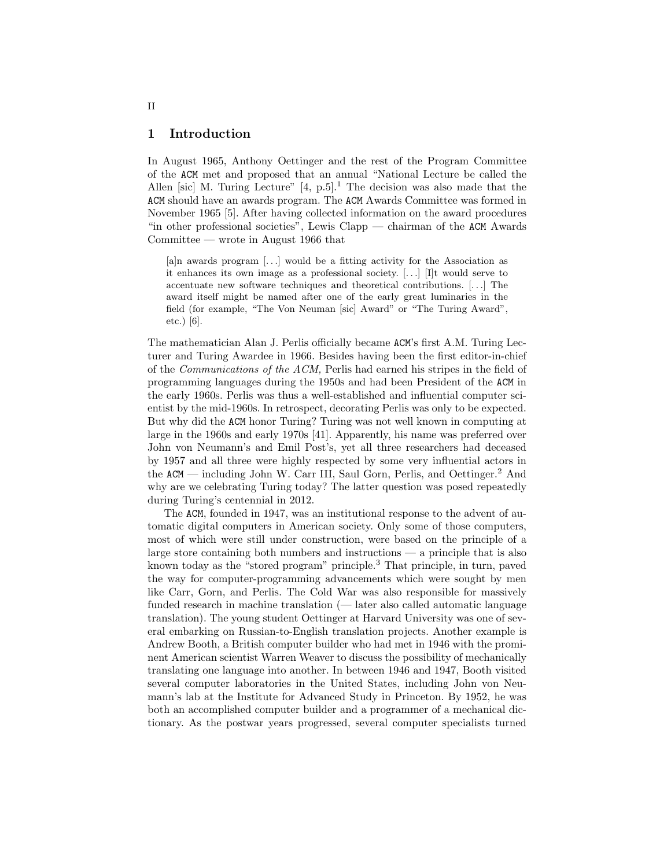## 1 Introduction

In August 1965, Anthony Oettinger and the rest of the Program Committee of the ACM met and proposed that an annual "National Lecture be called the Allen [sic] M. Turing Lecture"  $[4, p.5]$ .<sup>1</sup> The decision was also made that the ACM should have an awards program. The ACM Awards Committee was formed in November 1965 [5]. After having collected information on the award procedures "in other professional societies", Lewis Clapp — chairman of the ACM Awards Committee — wrote in August 1966 that

[a]n awards program [. . .] would be a fitting activity for the Association as it enhances its own image as a professional society. [. . .] [I]t would serve to accentuate new software techniques and theoretical contributions. [. . .] The award itself might be named after one of the early great luminaries in the field (for example, "The Von Neuman [sic] Award" or "The Turing Award", etc.) [6].

The mathematician Alan J. Perlis officially became ACM's first A.M. Turing Lecturer and Turing Awardee in 1966. Besides having been the first editor-in-chief of the Communications of the ACM, Perlis had earned his stripes in the field of programming languages during the 1950s and had been President of the ACM in the early 1960s. Perlis was thus a well-established and influential computer scientist by the mid-1960s. In retrospect, decorating Perlis was only to be expected. But why did the ACM honor Turing? Turing was not well known in computing at large in the 1960s and early 1970s [41]. Apparently, his name was preferred over John von Neumann's and Emil Post's, yet all three researchers had deceased by 1957 and all three were highly respected by some very influential actors in the  $ACM$  — including John W. Carr III, Saul Gorn, Perlis, and Oettinger.<sup>2</sup> And why are we celebrating Turing today? The latter question was posed repeatedly during Turing's centennial in 2012.

The ACM, founded in 1947, was an institutional response to the advent of automatic digital computers in American society. Only some of those computers, most of which were still under construction, were based on the principle of a large store containing both numbers and instructions — a principle that is also known today as the "stored program" principle.<sup>3</sup> That principle, in turn, paved the way for computer-programming advancements which were sought by men like Carr, Gorn, and Perlis. The Cold War was also responsible for massively funded research in machine translation (— later also called automatic language translation). The young student Oettinger at Harvard University was one of several embarking on Russian-to-English translation projects. Another example is Andrew Booth, a British computer builder who had met in 1946 with the prominent American scientist Warren Weaver to discuss the possibility of mechanically translating one language into another. In between 1946 and 1947, Booth visited several computer laboratories in the United States, including John von Neumann's lab at the Institute for Advanced Study in Princeton. By 1952, he was both an accomplished computer builder and a programmer of a mechanical dictionary. As the postwar years progressed, several computer specialists turned

II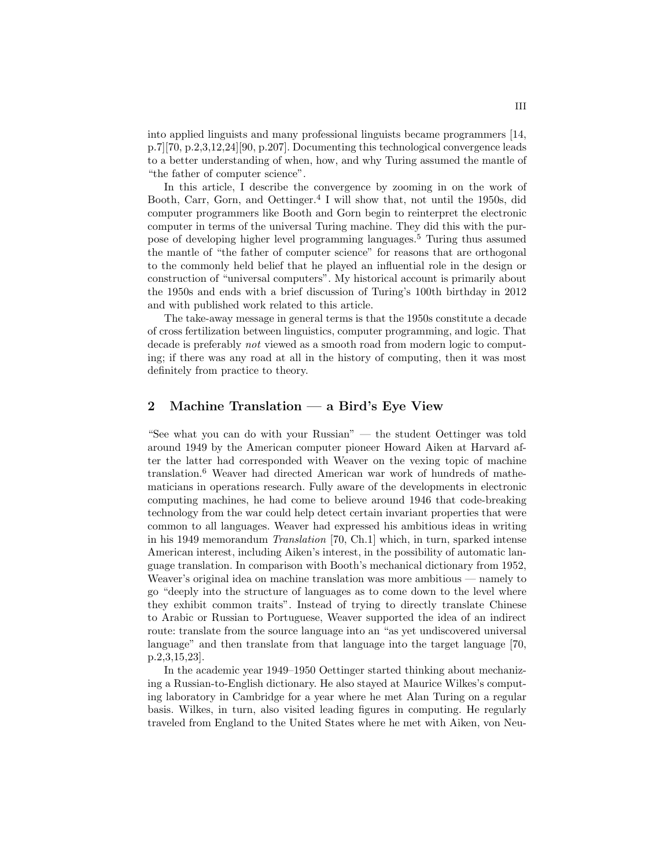into applied linguists and many professional linguists became programmers [14, p.7][70, p.2,3,12,24][90, p.207]. Documenting this technological convergence leads to a better understanding of when, how, and why Turing assumed the mantle of "the father of computer science".

In this article, I describe the convergence by zooming in on the work of Booth, Carr, Gorn, and Oettinger.<sup>4</sup> I will show that, not until the 1950s, did computer programmers like Booth and Gorn begin to reinterpret the electronic computer in terms of the universal Turing machine. They did this with the purpose of developing higher level programming languages.<sup>5</sup> Turing thus assumed the mantle of "the father of computer science" for reasons that are orthogonal to the commonly held belief that he played an influential role in the design or construction of "universal computers". My historical account is primarily about the 1950s and ends with a brief discussion of Turing's 100th birthday in 2012 and with published work related to this article.

The take-away message in general terms is that the 1950s constitute a decade of cross fertilization between linguistics, computer programming, and logic. That decade is preferably not viewed as a smooth road from modern logic to computing; if there was any road at all in the history of computing, then it was most definitely from practice to theory.

## 2 Machine Translation — a Bird's Eye View

"See what you can do with your Russian" — the student Oettinger was told around 1949 by the American computer pioneer Howard Aiken at Harvard after the latter had corresponded with Weaver on the vexing topic of machine translation.<sup>6</sup> Weaver had directed American war work of hundreds of mathematicians in operations research. Fully aware of the developments in electronic computing machines, he had come to believe around 1946 that code-breaking technology from the war could help detect certain invariant properties that were common to all languages. Weaver had expressed his ambitious ideas in writing in his 1949 memorandum Translation [70, Ch.1] which, in turn, sparked intense American interest, including Aiken's interest, in the possibility of automatic language translation. In comparison with Booth's mechanical dictionary from 1952, Weaver's original idea on machine translation was more ambitious — namely to go "deeply into the structure of languages as to come down to the level where they exhibit common traits". Instead of trying to directly translate Chinese to Arabic or Russian to Portuguese, Weaver supported the idea of an indirect route: translate from the source language into an "as yet undiscovered universal language" and then translate from that language into the target language [70, p.2,3,15,23].

In the academic year 1949–1950 Oettinger started thinking about mechanizing a Russian-to-English dictionary. He also stayed at Maurice Wilkes's computing laboratory in Cambridge for a year where he met Alan Turing on a regular basis. Wilkes, in turn, also visited leading figures in computing. He regularly traveled from England to the United States where he met with Aiken, von Neu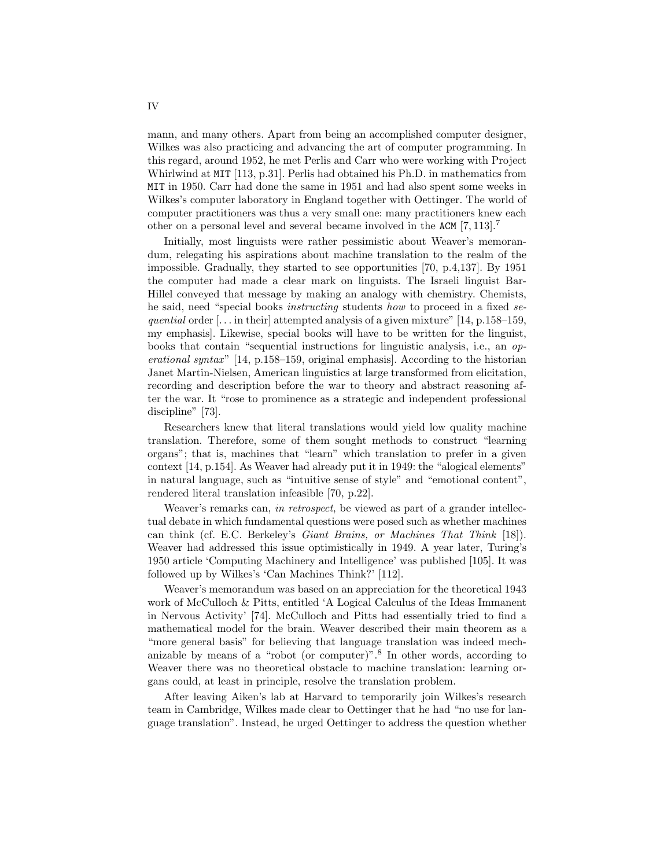mann, and many others. Apart from being an accomplished computer designer, Wilkes was also practicing and advancing the art of computer programming. In this regard, around 1952, he met Perlis and Carr who were working with Project Whirlwind at MIT [113, p.31]. Perlis had obtained his Ph.D. in mathematics from MIT in 1950. Carr had done the same in 1951 and had also spent some weeks in Wilkes's computer laboratory in England together with Oettinger. The world of computer practitioners was thus a very small one: many practitioners knew each other on a personal level and several became involved in the ACM [7, 113].<sup>7</sup>

Initially, most linguists were rather pessimistic about Weaver's memorandum, relegating his aspirations about machine translation to the realm of the impossible. Gradually, they started to see opportunities [70, p.4,137]. By 1951 the computer had made a clear mark on linguists. The Israeli linguist Bar-Hillel conveyed that message by making an analogy with chemistry. Chemists, he said, need "special books *instructing* students how to proceed in a fixed sequential order  $[\dots]$  in their attempted analysis of a given mixture" [14, p.158–159, my emphasis]. Likewise, special books will have to be written for the linguist, books that contain "sequential instructions for linguistic analysis, i.e., an operational syntax"  $[14, p.158-159, \text{original emphasis}]$ . According to the historian Janet Martin-Nielsen, American linguistics at large transformed from elicitation, recording and description before the war to theory and abstract reasoning after the war. It "rose to prominence as a strategic and independent professional discipline" [73].

Researchers knew that literal translations would yield low quality machine translation. Therefore, some of them sought methods to construct "learning organs"; that is, machines that "learn" which translation to prefer in a given context [14, p.154]. As Weaver had already put it in 1949: the "alogical elements" in natural language, such as "intuitive sense of style" and "emotional content", rendered literal translation infeasible [70, p.22].

Weaver's remarks can, in retrospect, be viewed as part of a grander intellectual debate in which fundamental questions were posed such as whether machines can think (cf. E.C. Berkeley's Giant Brains, or Machines That Think [18]). Weaver had addressed this issue optimistically in 1949. A year later, Turing's 1950 article 'Computing Machinery and Intelligence' was published [105]. It was followed up by Wilkes's 'Can Machines Think?' [112].

Weaver's memorandum was based on an appreciation for the theoretical 1943 work of McCulloch & Pitts, entitled 'A Logical Calculus of the Ideas Immanent in Nervous Activity' [74]. McCulloch and Pitts had essentially tried to find a mathematical model for the brain. Weaver described their main theorem as a "more general basis" for believing that language translation was indeed mechanizable by means of a "robot (or computer)".<sup>8</sup> In other words, according to Weaver there was no theoretical obstacle to machine translation: learning organs could, at least in principle, resolve the translation problem.

After leaving Aiken's lab at Harvard to temporarily join Wilkes's research team in Cambridge, Wilkes made clear to Oettinger that he had "no use for language translation". Instead, he urged Oettinger to address the question whether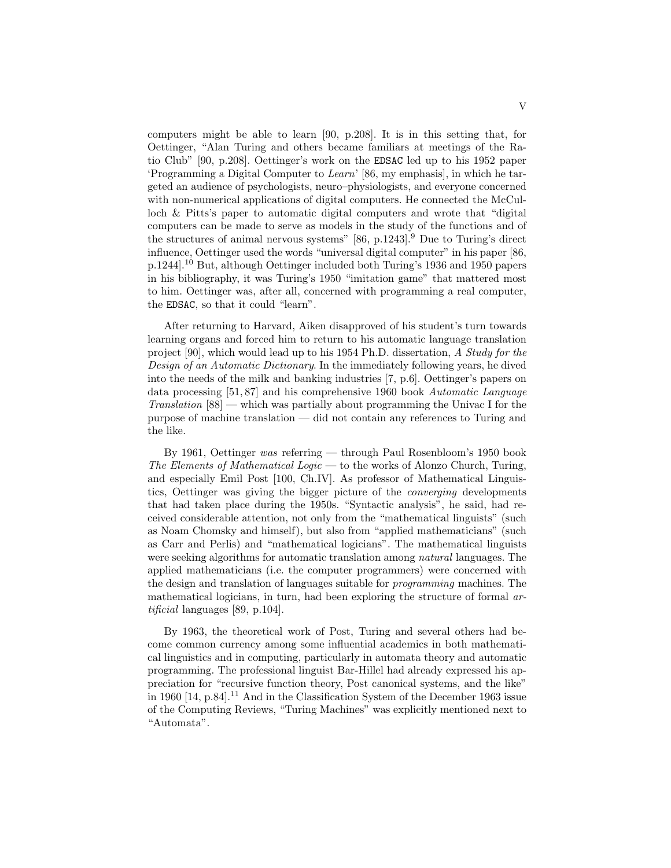computers might be able to learn [90, p.208]. It is in this setting that, for Oettinger, "Alan Turing and others became familiars at meetings of the Ratio Club" [90, p.208]. Oettinger's work on the EDSAC led up to his 1952 paper 'Programming a Digital Computer to Learn' [86, my emphasis], in which he targeted an audience of psychologists, neuro–physiologists, and everyone concerned with non-numerical applications of digital computers. He connected the McCulloch & Pitts's paper to automatic digital computers and wrote that "digital computers can be made to serve as models in the study of the functions and of the structures of animal nervous systems"  $[86, p.1243]$ . <sup>9</sup> Due to Turing's direct influence, Oettinger used the words "universal digital computer" in his paper [86, p.1244].<sup>10</sup> But, although Oettinger included both Turing's 1936 and 1950 papers in his bibliography, it was Turing's 1950 "imitation game" that mattered most to him. Oettinger was, after all, concerned with programming a real computer, the EDSAC, so that it could "learn".

After returning to Harvard, Aiken disapproved of his student's turn towards learning organs and forced him to return to his automatic language translation project [90], which would lead up to his 1954 Ph.D. dissertation, A Study for the Design of an Automatic Dictionary. In the immediately following years, he dived into the needs of the milk and banking industries [7, p.6]. Oettinger's papers on data processing [51, 87] and his comprehensive 1960 book Automatic Language Translation [88] — which was partially about programming the Univac I for the purpose of machine translation — did not contain any references to Turing and the like.

By 1961, Oettinger was referring — through Paul Rosenbloom's 1950 book The Elements of Mathematical Logic — to the works of Alonzo Church, Turing, and especially Emil Post [100, Ch.IV]. As professor of Mathematical Linguistics, Oettinger was giving the bigger picture of the converging developments that had taken place during the 1950s. "Syntactic analysis", he said, had received considerable attention, not only from the "mathematical linguists" (such as Noam Chomsky and himself), but also from "applied mathematicians" (such as Carr and Perlis) and "mathematical logicians". The mathematical linguists were seeking algorithms for automatic translation among natural languages. The applied mathematicians (i.e. the computer programmers) were concerned with the design and translation of languages suitable for programming machines. The mathematical logicians, in turn, had been exploring the structure of formal artificial languages [89, p.104].

By 1963, the theoretical work of Post, Turing and several others had become common currency among some influential academics in both mathematical linguistics and in computing, particularly in automata theory and automatic programming. The professional linguist Bar-Hillel had already expressed his appreciation for "recursive function theory, Post canonical systems, and the like" in 1960  $[14, p.84]$ .<sup>11</sup> And in the Classification System of the December 1963 issue of the Computing Reviews, "Turing Machines" was explicitly mentioned next to "Automata".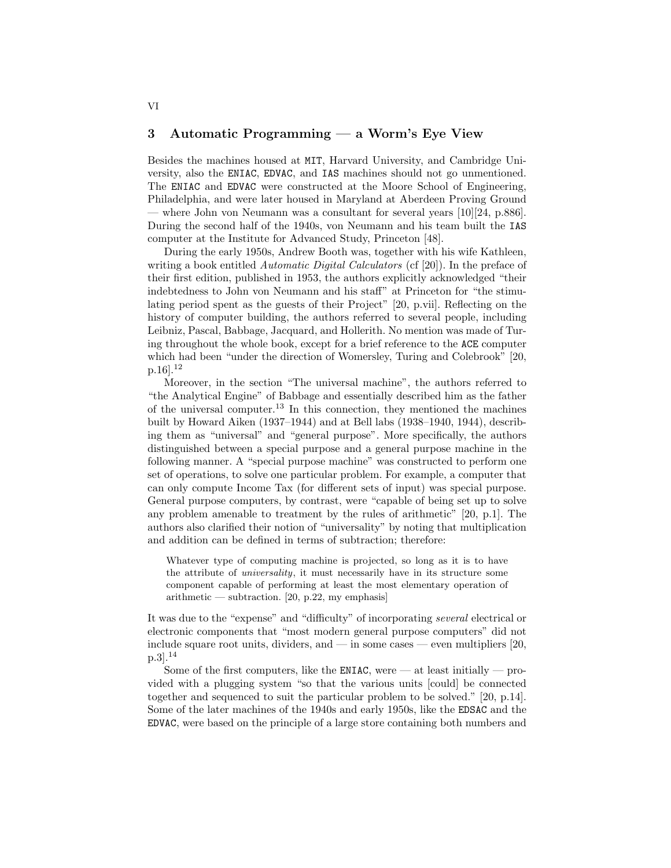## 3 Automatic Programming — a Worm's Eye View

Besides the machines housed at MIT, Harvard University, and Cambridge University, also the ENIAC, EDVAC, and IAS machines should not go unmentioned. The ENIAC and EDVAC were constructed at the Moore School of Engineering, Philadelphia, and were later housed in Maryland at Aberdeen Proving Ground — where John von Neumann was a consultant for several years  $[10][24, p.886]$ . During the second half of the 1940s, von Neumann and his team built the IAS computer at the Institute for Advanced Study, Princeton [48].

During the early 1950s, Andrew Booth was, together with his wife Kathleen, writing a book entitled *Automatic Digital Calculators* (cf [20]). In the preface of their first edition, published in 1953, the authors explicitly acknowledged "their indebtedness to John von Neumann and his staff" at Princeton for "the stimulating period spent as the guests of their Project" [20, p.vii]. Reflecting on the history of computer building, the authors referred to several people, including Leibniz, Pascal, Babbage, Jacquard, and Hollerith. No mention was made of Turing throughout the whole book, except for a brief reference to the ACE computer which had been "under the direction of Womersley, Turing and Colebrook" [20, p.16].<sup>12</sup>

Moreover, in the section "The universal machine", the authors referred to "the Analytical Engine" of Babbage and essentially described him as the father of the universal computer.<sup>13</sup> In this connection, they mentioned the machines built by Howard Aiken (1937–1944) and at Bell labs (1938–1940, 1944), describing them as "universal" and "general purpose". More specifically, the authors distinguished between a special purpose and a general purpose machine in the following manner. A "special purpose machine" was constructed to perform one set of operations, to solve one particular problem. For example, a computer that can only compute Income Tax (for different sets of input) was special purpose. General purpose computers, by contrast, were "capable of being set up to solve any problem amenable to treatment by the rules of arithmetic" [20, p.1]. The authors also clarified their notion of "universality" by noting that multiplication and addition can be defined in terms of subtraction; therefore:

Whatever type of computing machine is projected, so long as it is to have the attribute of universality, it must necessarily have in its structure some component capable of performing at least the most elementary operation of arithmetic — subtraction. [20, p.22, my emphasis]

It was due to the "expense" and "difficulty" of incorporating several electrical or electronic components that "most modern general purpose computers" did not include square root units, dividers, and  $-$  in some cases  $-$  even multipliers [20, p.3].<sup>14</sup>

Some of the first computers, like the ENIAC, were — at least initially — provided with a plugging system "so that the various units [could] be connected together and sequenced to suit the particular problem to be solved." [20, p.14]. Some of the later machines of the 1940s and early 1950s, like the EDSAC and the EDVAC, were based on the principle of a large store containing both numbers and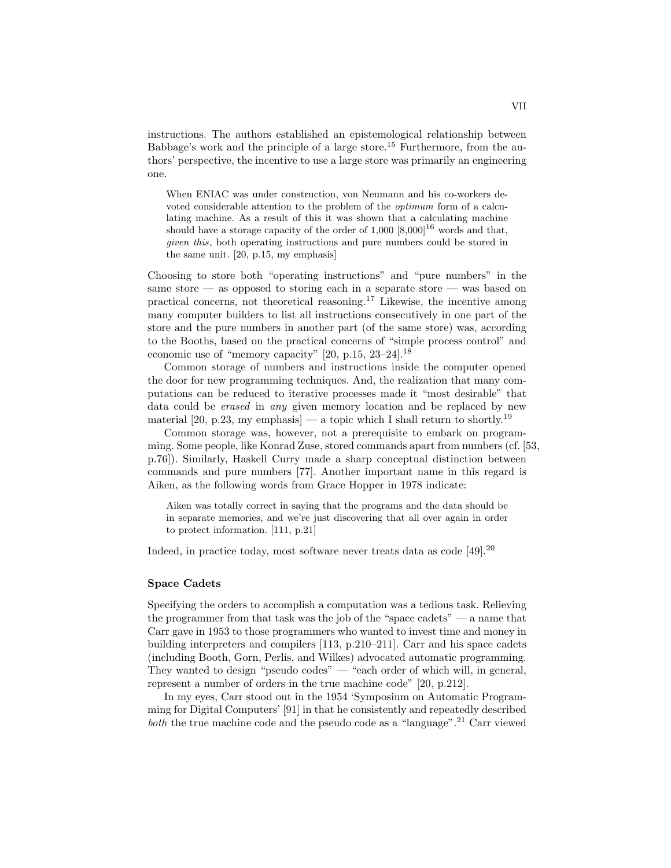instructions. The authors established an epistemological relationship between Babbage's work and the principle of a large store.<sup>15</sup> Furthermore, from the authors' perspective, the incentive to use a large store was primarily an engineering one.

When ENIAC was under construction, von Neumann and his co-workers devoted considerable attention to the problem of the optimum form of a calculating machine. As a result of this it was shown that a calculating machine should have a storage capacity of the order of  $1,000$  [8,000]<sup>16</sup> words and that, given this, both operating instructions and pure numbers could be stored in the same unit. [20, p.15, my emphasis]

Choosing to store both "operating instructions" and "pure numbers" in the same store — as opposed to storing each in a separate store — was based on practical concerns, not theoretical reasoning.<sup>17</sup> Likewise, the incentive among many computer builders to list all instructions consecutively in one part of the store and the pure numbers in another part (of the same store) was, according to the Booths, based on the practical concerns of "simple process control" and economic use of "memory capacity" [20, p.15, 23–24].<sup>18</sup>

Common storage of numbers and instructions inside the computer opened the door for new programming techniques. And, the realization that many computations can be reduced to iterative processes made it "most desirable" that data could be erased in any given memory location and be replaced by new material [20, p.23, my emphasis] — a topic which I shall return to shortly.<sup>19</sup>

Common storage was, however, not a prerequisite to embark on programming. Some people, like Konrad Zuse, stored commands apart from numbers (cf. [53, p.76]). Similarly, Haskell Curry made a sharp conceptual distinction between commands and pure numbers [77]. Another important name in this regard is Aiken, as the following words from Grace Hopper in 1978 indicate:

Aiken was totally correct in saying that the programs and the data should be in separate memories, and we're just discovering that all over again in order to protect information. [111, p.21]

Indeed, in practice today, most software never treats data as code [49].<sup>20</sup>

#### Space Cadets

Specifying the orders to accomplish a computation was a tedious task. Relieving the programmer from that task was the job of the "space cadets" — a name that Carr gave in 1953 to those programmers who wanted to invest time and money in building interpreters and compilers [113, p.210–211]. Carr and his space cadets (including Booth, Gorn, Perlis, and Wilkes) advocated automatic programming. They wanted to design "pseudo codes" — "each order of which will, in general, represent a number of orders in the true machine code" [20, p.212].

In my eyes, Carr stood out in the 1954 'Symposium on Automatic Programming for Digital Computers' [91] in that he consistently and repeatedly described both the true machine code and the pseudo code as a "language".<sup>21</sup> Carr viewed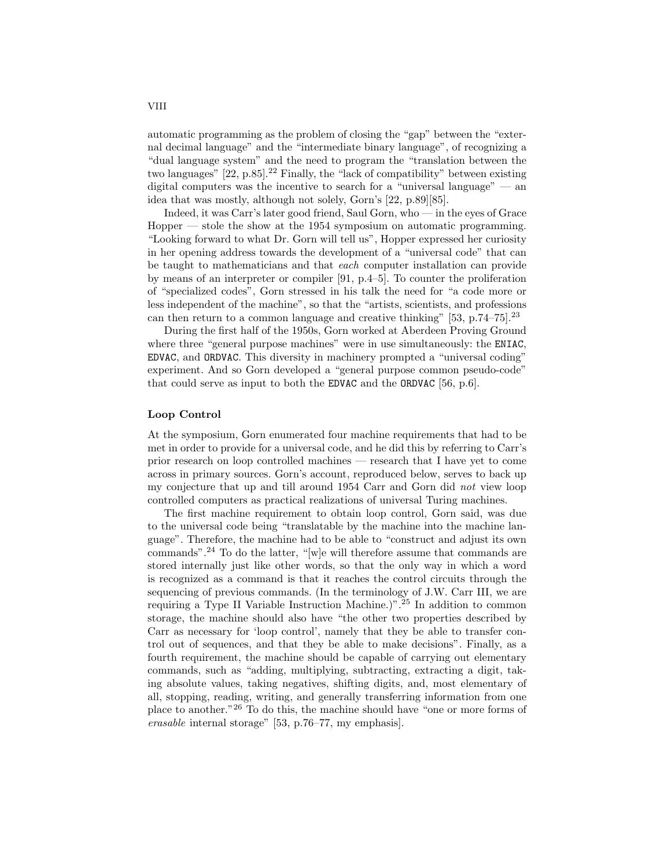automatic programming as the problem of closing the "gap" between the "external decimal language" and the "intermediate binary language", of recognizing a "dual language system" and the need to program the "translation between the two languages" [22, p.85].<sup>22</sup> Finally, the "lack of compatibility" between existing digital computers was the incentive to search for a "universal language"  $-$  an idea that was mostly, although not solely, Gorn's [22, p.89][85].

Indeed, it was Carr's later good friend, Saul Gorn, who — in the eyes of Grace Hopper — stole the show at the 1954 symposium on automatic programming. "Looking forward to what Dr. Gorn will tell us", Hopper expressed her curiosity in her opening address towards the development of a "universal code" that can be taught to mathematicians and that each computer installation can provide by means of an interpreter or compiler [91, p.4–5]. To counter the proliferation of "specialized codes", Gorn stressed in his talk the need for "a code more or less independent of the machine", so that the "artists, scientists, and professions can then return to a common language and creative thinking"  $[53, p.74-75]$ <sup>23</sup>

During the first half of the 1950s, Gorn worked at Aberdeen Proving Ground where three "general purpose machines" were in use simultaneously: the ENIAC, EDVAC, and ORDVAC. This diversity in machinery prompted a "universal coding" experiment. And so Gorn developed a "general purpose common pseudo-code" that could serve as input to both the EDVAC and the ORDVAC [56, p.6].

#### Loop Control

At the symposium, Gorn enumerated four machine requirements that had to be met in order to provide for a universal code, and he did this by referring to Carr's prior research on loop controlled machines — research that I have yet to come across in primary sources. Gorn's account, reproduced below, serves to back up my conjecture that up and till around 1954 Carr and Gorn did not view loop controlled computers as practical realizations of universal Turing machines.

The first machine requirement to obtain loop control, Gorn said, was due to the universal code being "translatable by the machine into the machine language". Therefore, the machine had to be able to "construct and adjust its own commands".<sup>24</sup> To do the latter, "[w]e will therefore assume that commands are stored internally just like other words, so that the only way in which a word is recognized as a command is that it reaches the control circuits through the sequencing of previous commands. (In the terminology of J.W. Carr III, we are requiring a Type II Variable Instruction Machine.)".<sup>25</sup> In addition to common storage, the machine should also have "the other two properties described by Carr as necessary for 'loop control', namely that they be able to transfer control out of sequences, and that they be able to make decisions". Finally, as a fourth requirement, the machine should be capable of carrying out elementary commands, such as "adding, multiplying, subtracting, extracting a digit, taking absolute values, taking negatives, shifting digits, and, most elementary of all, stopping, reading, writing, and generally transferring information from one place to another."<sup>26</sup> To do this, the machine should have "one or more forms of erasable internal storage" [53, p.76–77, my emphasis].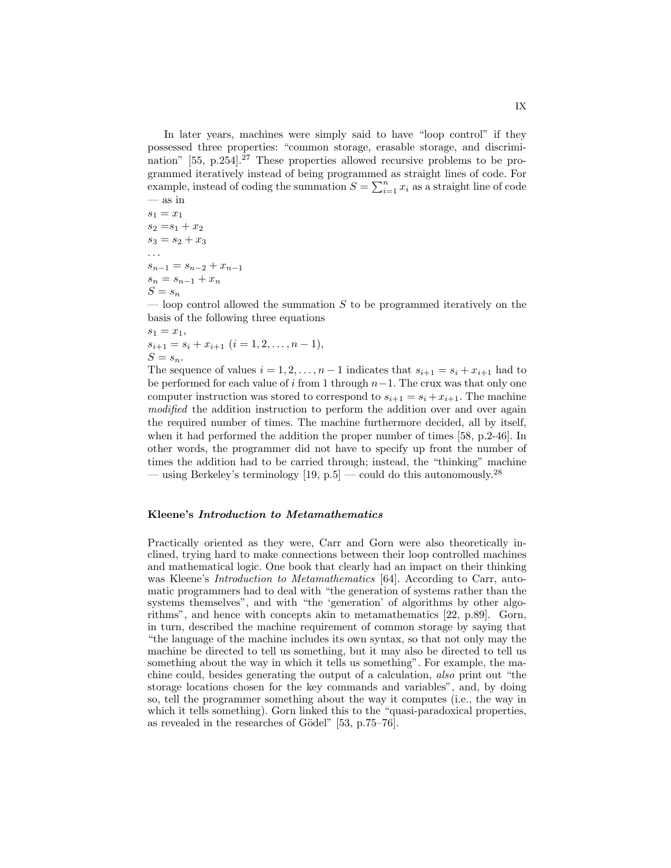In later years, machines were simply said to have "loop control" if they possessed three properties: "common storage, erasable storage, and discrimination" [55, p.254].<sup>27</sup> These properties allowed recursive problems to be programmed iteratively instead of being programmed as straight lines of code. For example, instead of coding the summation  $S = \sum_{i=1}^{n} x_i$  as a straight line of code — as in

 $s_1 = x_1$  $s_2 = s_1 + x_2$  $s_3 = s_2 + x_3$ . . .  $s_{n-1} = s_{n-2} + x_{n-1}$  $s_n = s_{n-1} + x_n$  $S = s_n$ 

— loop control allowed the summation  $S$  to be programmed iteratively on the basis of the following three equations

$$
s_1 = x_1,s_{i+1} = s_i + x_{i+1} (i = 1, 2, ..., n - 1),S = s_n.
$$

The sequence of values  $i = 1, 2, \ldots, n-1$  indicates that  $s_{i+1} = s_i + x_{i+1}$  had to be performed for each value of i from 1 through  $n-1$ . The crux was that only one computer instruction was stored to correspond to  $s_{i+1} = s_i + x_{i+1}$ . The machine modified the addition instruction to perform the addition over and over again the required number of times. The machine furthermore decided, all by itself, when it had performed the addition the proper number of times [58, p.2-46]. In other words, the programmer did not have to specify up front the number of times the addition had to be carried through; instead, the "thinking" machine — using Berkeley's terminology  $[19, p.5]$  — could do this autonomously.<sup>28</sup>

#### Kleene's Introduction to Metamathematics

Practically oriented as they were, Carr and Gorn were also theoretically inclined, trying hard to make connections between their loop controlled machines and mathematical logic. One book that clearly had an impact on their thinking was Kleene's *Introduction to Metamathematics* [64]. According to Carr, automatic programmers had to deal with "the generation of systems rather than the systems themselves", and with "the 'generation' of algorithms by other algorithms", and hence with concepts akin to metamathematics [22, p.89]. Gorn, in turn, described the machine requirement of common storage by saying that "the language of the machine includes its own syntax, so that not only may the machine be directed to tell us something, but it may also be directed to tell us something about the way in which it tells us something". For example, the machine could, besides generating the output of a calculation, also print out "the storage locations chosen for the key commands and variables", and, by doing so, tell the programmer something about the way it computes (i.e., the way in which it tells something). Gorn linked this to the "quasi-paradoxical properties, as revealed in the researches of Gödel"  $[53, p.75-76]$ .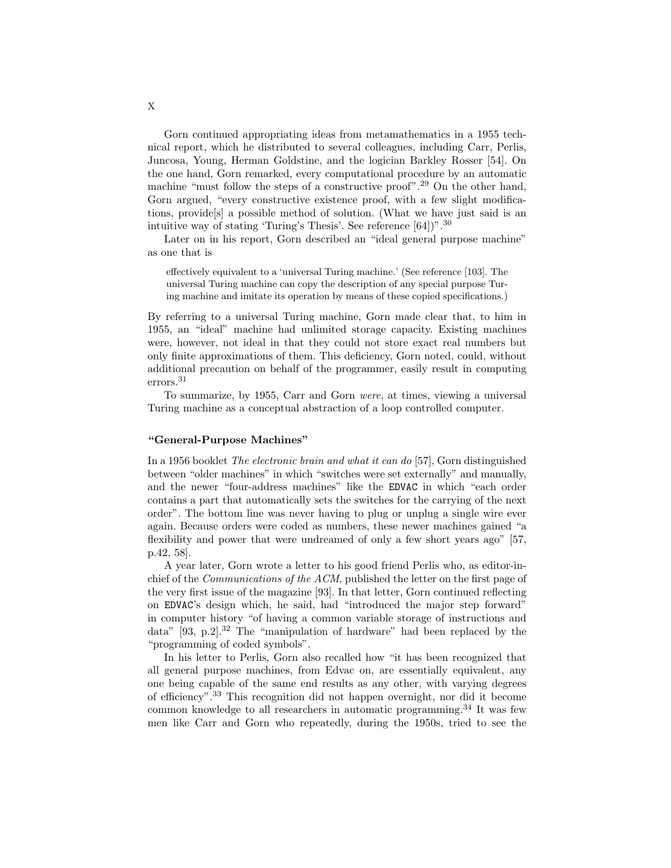Gorn continued appropriating ideas from metamathematics in a 1955 technical report, which he distributed to several colleagues, including Carr, Perlis, Juncosa, Young, Herman Goldstine, and the logician Barkley Rosser [54]. On the one hand, Gorn remarked, every computational procedure by an automatic machine "must follow the steps of a constructive proof".<sup>29</sup> On the other hand, Gorn argued, "every constructive existence proof, with a few slight modifications, provide[s] a possible method of solution. (What we have just said is an intuitive way of stating 'Turing's Thesis'. See reference  $[64]$ ".<sup>30</sup>

Later on in his report, Gorn described an "ideal general purpose machine" as one that is

effectively equivalent to a 'universal Turing machine.' (See reference [103]. The universal Turing machine can copy the description of any special purpose Turing machine and imitate its operation by means of these copied specifications.)

By referring to a universal Turing machine, Gorn made clear that, to him in 1955, an "ideal" machine had unlimited storage capacity. Existing machines were, however, not ideal in that they could not store exact real numbers but only finite approximations of them. This deficiency, Gorn noted, could, without additional precaution on behalf of the programmer, easily result in computing errors.<sup>31</sup>

To summarize, by 1955, Carr and Gorn were, at times, viewing a universal Turing machine as a conceptual abstraction of a loop controlled computer.

## "General-Purpose Machines"

In a 1956 booklet The electronic brain and what it can do [57], Gorn distinguished between "older machines" in which "switches were set externally" and manually, and the newer "four-address machines" like the EDVAC in which "each order contains a part that automatically sets the switches for the carrying of the next order". The bottom line was never having to plug or unplug a single wire ever again. Because orders were coded as numbers, these newer machines gained "a flexibility and power that were undreamed of only a few short years ago" [57, p.42, 58].

A year later, Gorn wrote a letter to his good friend Perlis who, as editor-inchief of the Communications of the ACM, published the letter on the first page of the very first issue of the magazine [93]. In that letter, Gorn continued reflecting on EDVAC's design which, he said, had "introduced the major step forward" in computer history "of having a common variable storage of instructions and data"  $[93, p.2]$ .<sup>32</sup> The "manipulation of hardware" had been replaced by the "programming of coded symbols".

In his letter to Perlis, Gorn also recalled how "it has been recognized that all general purpose machines, from Edvac on, are essentially equivalent, any one being capable of the same end results as any other, with varying degrees of efficiency".<sup>33</sup> This recognition did not happen overnight, nor did it become common knowledge to all researchers in automatic programming.<sup>34</sup> It was few men like Carr and Gorn who repeatedly, during the 1950s, tried to see the

X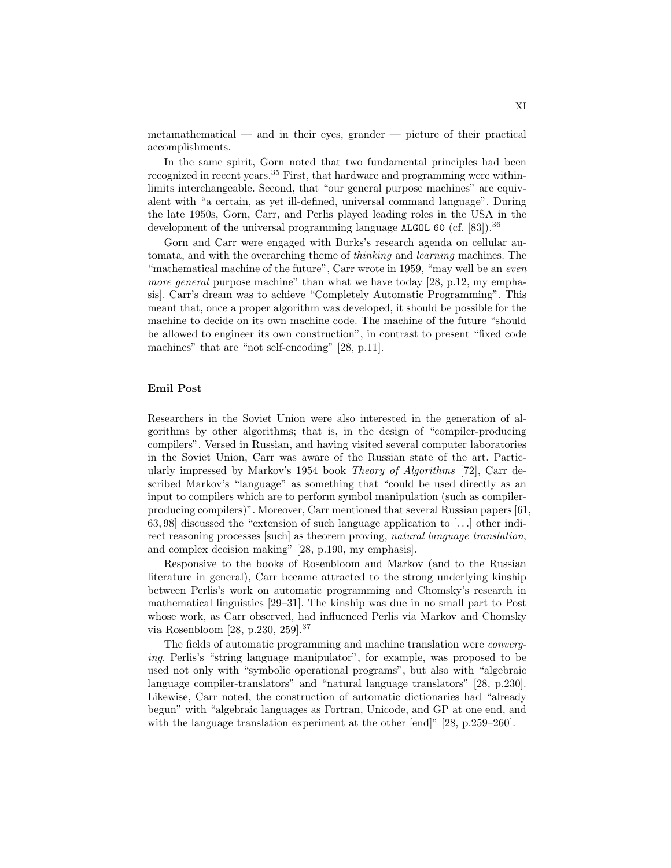metamathematical — and in their eyes, grander — picture of their practical accomplishments.

In the same spirit, Gorn noted that two fundamental principles had been recognized in recent years.<sup>35</sup> First, that hardware and programming were withinlimits interchangeable. Second, that "our general purpose machines" are equivalent with "a certain, as yet ill-defined, universal command language". During the late 1950s, Gorn, Carr, and Perlis played leading roles in the USA in the development of the universal programming language ALGOL 60 (cf.  $[83]$ ).<sup>36</sup>

Gorn and Carr were engaged with Burks's research agenda on cellular automata, and with the overarching theme of thinking and learning machines. The "mathematical machine of the future", Carr wrote in 1959, "may well be an even more general purpose machine" than what we have today [28, p.12, my emphasis]. Carr's dream was to achieve "Completely Automatic Programming". This meant that, once a proper algorithm was developed, it should be possible for the machine to decide on its own machine code. The machine of the future "should be allowed to engineer its own construction", in contrast to present "fixed code machines" that are "not self-encoding" [28, p.11].

#### Emil Post

Researchers in the Soviet Union were also interested in the generation of algorithms by other algorithms; that is, in the design of "compiler-producing compilers". Versed in Russian, and having visited several computer laboratories in the Soviet Union, Carr was aware of the Russian state of the art. Particularly impressed by Markov's 1954 book Theory of Algorithms [72], Carr described Markov's "language" as something that "could be used directly as an input to compilers which are to perform symbol manipulation (such as compilerproducing compilers)". Moreover, Carr mentioned that several Russian papers [61, 63, 98] discussed the "extension of such language application to [. . .] other indirect reasoning processes [such] as theorem proving, natural language translation, and complex decision making" [28, p.190, my emphasis].

Responsive to the books of Rosenbloom and Markov (and to the Russian literature in general), Carr became attracted to the strong underlying kinship between Perlis's work on automatic programming and Chomsky's research in mathematical linguistics [29–31]. The kinship was due in no small part to Post whose work, as Carr observed, had influenced Perlis via Markov and Chomsky via Rosenbloom [28, p.230, 259].<sup>37</sup>

The fields of automatic programming and machine translation were converging. Perlis's "string language manipulator", for example, was proposed to be used not only with "symbolic operational programs", but also with "algebraic language compiler-translators" and "natural language translators" [28, p.230]. Likewise, Carr noted, the construction of automatic dictionaries had "already begun" with "algebraic languages as Fortran, Unicode, and GP at one end, and with the language translation experiment at the other [end]" [28, p.259–260].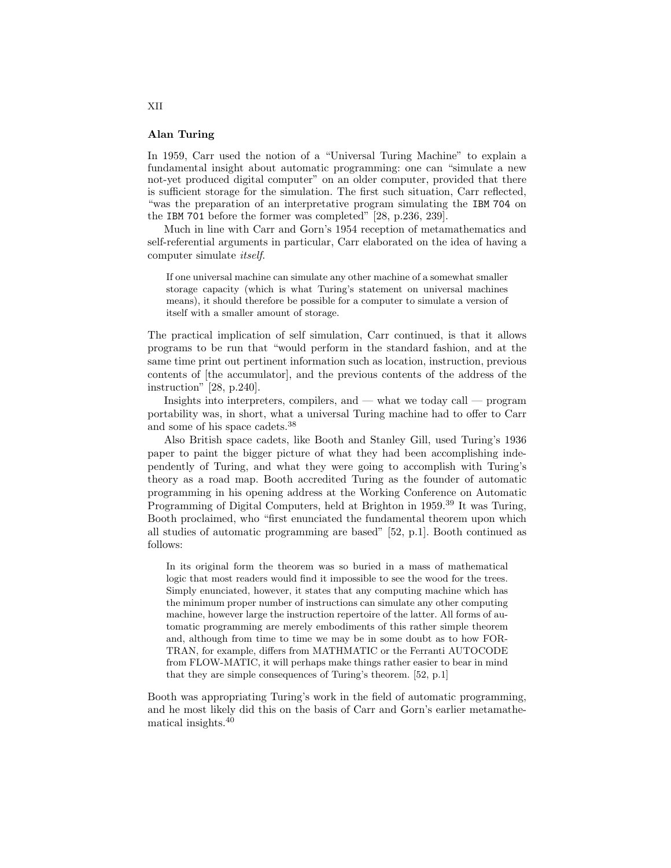#### Alan Turing

In 1959, Carr used the notion of a "Universal Turing Machine" to explain a fundamental insight about automatic programming: one can "simulate a new not-yet produced digital computer" on an older computer, provided that there is sufficient storage for the simulation. The first such situation, Carr reflected, "was the preparation of an interpretative program simulating the IBM 704 on the IBM 701 before the former was completed" [28, p.236, 239].

Much in line with Carr and Gorn's 1954 reception of metamathematics and self-referential arguments in particular, Carr elaborated on the idea of having a computer simulate itself.

If one universal machine can simulate any other machine of a somewhat smaller storage capacity (which is what Turing's statement on universal machines means), it should therefore be possible for a computer to simulate a version of itself with a smaller amount of storage.

The practical implication of self simulation, Carr continued, is that it allows programs to be run that "would perform in the standard fashion, and at the same time print out pertinent information such as location, instruction, previous contents of [the accumulator], and the previous contents of the address of the instruction" [28, p.240].

Insights into interpreters, compilers, and — what we today call — program portability was, in short, what a universal Turing machine had to offer to Carr and some of his space cadets.<sup>38</sup>

Also British space cadets, like Booth and Stanley Gill, used Turing's 1936 paper to paint the bigger picture of what they had been accomplishing independently of Turing, and what they were going to accomplish with Turing's theory as a road map. Booth accredited Turing as the founder of automatic programming in his opening address at the Working Conference on Automatic Programming of Digital Computers, held at Brighton in 1959.<sup>39</sup> It was Turing, Booth proclaimed, who "first enunciated the fundamental theorem upon which all studies of automatic programming are based" [52, p.1]. Booth continued as follows:

In its original form the theorem was so buried in a mass of mathematical logic that most readers would find it impossible to see the wood for the trees. Simply enunciated, however, it states that any computing machine which has the minimum proper number of instructions can simulate any other computing machine, however large the instruction repertoire of the latter. All forms of automatic programming are merely embodiments of this rather simple theorem and, although from time to time we may be in some doubt as to how FOR-TRAN, for example, differs from MATHMATIC or the Ferranti AUTOCODE from FLOW-MATIC, it will perhaps make things rather easier to bear in mind that they are simple consequences of Turing's theorem. [52, p.1]

Booth was appropriating Turing's work in the field of automatic programming, and he most likely did this on the basis of Carr and Gorn's earlier metamathematical insights.<sup>40</sup>

#### XII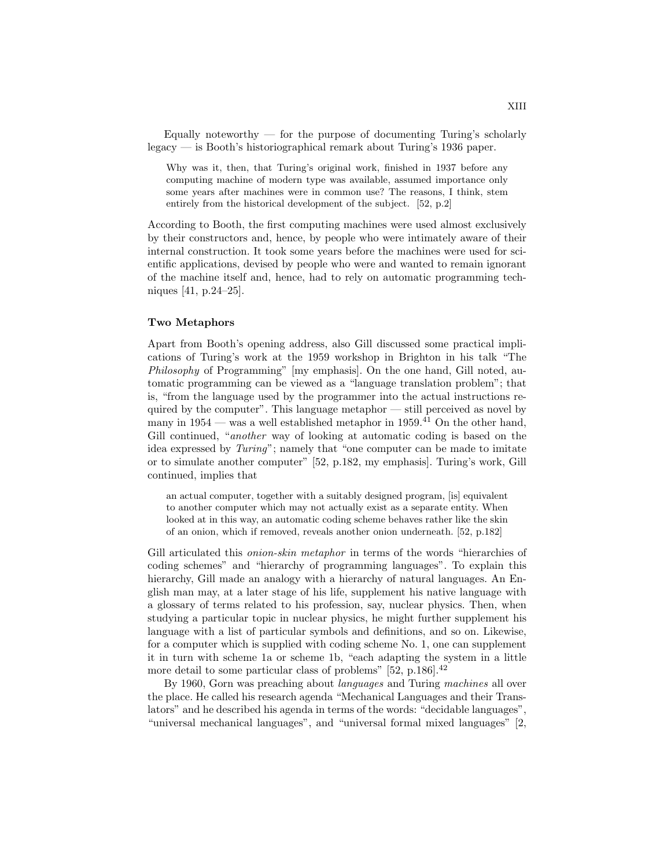Equally noteworthy — for the purpose of documenting Turing's scholarly legacy — is Booth's historiographical remark about Turing's 1936 paper.

Why was it, then, that Turing's original work, finished in 1937 before any computing machine of modern type was available, assumed importance only some years after machines were in common use? The reasons, I think, stem entirely from the historical development of the subject. [52, p.2]

According to Booth, the first computing machines were used almost exclusively by their constructors and, hence, by people who were intimately aware of their internal construction. It took some years before the machines were used for scientific applications, devised by people who were and wanted to remain ignorant of the machine itself and, hence, had to rely on automatic programming techniques [41, p.24–25].

#### Two Metaphors

Apart from Booth's opening address, also Gill discussed some practical implications of Turing's work at the 1959 workshop in Brighton in his talk "The Philosophy of Programming" [my emphasis]. On the one hand, Gill noted, automatic programming can be viewed as a "language translation problem"; that is, "from the language used by the programmer into the actual instructions required by the computer". This language metaphor — still perceived as novel by many in  $1954$  — was a well established metaphor in  $1959.<sup>41</sup>$  On the other hand, Gill continued, "*another* way of looking at automatic coding is based on the idea expressed by Turing"; namely that "one computer can be made to imitate or to simulate another computer" [52, p.182, my emphasis]. Turing's work, Gill continued, implies that

an actual computer, together with a suitably designed program, [is] equivalent to another computer which may not actually exist as a separate entity. When looked at in this way, an automatic coding scheme behaves rather like the skin of an onion, which if removed, reveals another onion underneath. [52, p.182]

Gill articulated this *onion-skin metaphor* in terms of the words "hierarchies of coding schemes" and "hierarchy of programming languages". To explain this hierarchy, Gill made an analogy with a hierarchy of natural languages. An English man may, at a later stage of his life, supplement his native language with a glossary of terms related to his profession, say, nuclear physics. Then, when studying a particular topic in nuclear physics, he might further supplement his language with a list of particular symbols and definitions, and so on. Likewise, for a computer which is supplied with coding scheme No. 1, one can supplement it in turn with scheme 1a or scheme 1b, "each adapting the system in a little more detail to some particular class of problems" [52, p.186].<sup>42</sup>

By 1960, Gorn was preaching about languages and Turing machines all over the place. He called his research agenda "Mechanical Languages and their Translators" and he described his agenda in terms of the words: "decidable languages", "universal mechanical languages", and "universal formal mixed languages" [2,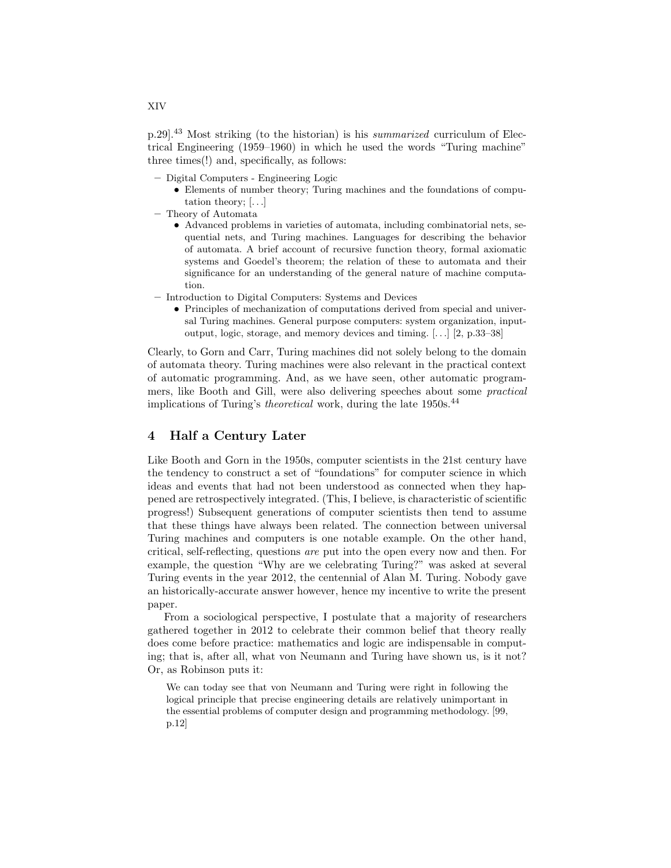p.29].<sup>43</sup> Most striking (to the historian) is his summarized curriculum of Electrical Engineering (1959–1960) in which he used the words "Turing machine" three times(!) and, specifically, as follows:

- Digital Computers Engineering Logic
	- Elements of number theory; Turing machines and the foundations of computation theory; [. . .]
- Theory of Automata
	- Advanced problems in varieties of automata, including combinatorial nets, sequential nets, and Turing machines. Languages for describing the behavior of automata. A brief account of recursive function theory, formal axiomatic systems and Goedel's theorem; the relation of these to automata and their significance for an understanding of the general nature of machine computation.
- Introduction to Digital Computers: Systems and Devices
	- Principles of mechanization of computations derived from special and universal Turing machines. General purpose computers: system organization, inputoutput, logic, storage, and memory devices and timing. [. . .] [2, p.33–38]

Clearly, to Gorn and Carr, Turing machines did not solely belong to the domain of automata theory. Turing machines were also relevant in the practical context of automatic programming. And, as we have seen, other automatic programmers, like Booth and Gill, were also delivering speeches about some practical implications of Turing's *theoretical* work, during the late  $1950s^{44}$ 

## 4 Half a Century Later

Like Booth and Gorn in the 1950s, computer scientists in the 21st century have the tendency to construct a set of "foundations" for computer science in which ideas and events that had not been understood as connected when they happened are retrospectively integrated. (This, I believe, is characteristic of scientific progress!) Subsequent generations of computer scientists then tend to assume that these things have always been related. The connection between universal Turing machines and computers is one notable example. On the other hand, critical, self-reflecting, questions are put into the open every now and then. For example, the question "Why are we celebrating Turing?" was asked at several Turing events in the year 2012, the centennial of Alan M. Turing. Nobody gave an historically-accurate answer however, hence my incentive to write the present paper.

From a sociological perspective, I postulate that a majority of researchers gathered together in 2012 to celebrate their common belief that theory really does come before practice: mathematics and logic are indispensable in computing; that is, after all, what von Neumann and Turing have shown us, is it not? Or, as Robinson puts it:

We can today see that von Neumann and Turing were right in following the logical principle that precise engineering details are relatively unimportant in the essential problems of computer design and programming methodology. [99, p.12]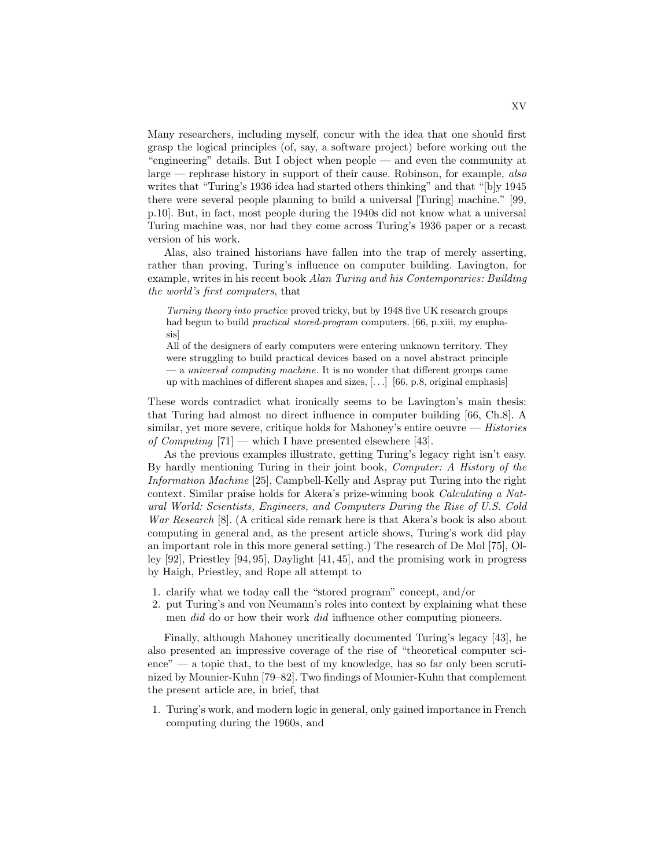Many researchers, including myself, concur with the idea that one should first grasp the logical principles (of, say, a software project) before working out the "engineering" details. But I object when people — and even the community at large — rephrase history in support of their cause. Robinson, for example, also writes that "Turing's 1936 idea had started others thinking" and that "[b]y 1945 there were several people planning to build a universal [Turing] machine." [99, p.10]. But, in fact, most people during the 1940s did not know what a universal Turing machine was, nor had they come across Turing's 1936 paper or a recast version of his work.

Alas, also trained historians have fallen into the trap of merely asserting, rather than proving, Turing's influence on computer building. Lavington, for example, writes in his recent book Alan Turing and his Contemporaries: Building the world's first computers, that

Turning theory into practice proved tricky, but by 1948 five UK research groups had begun to build practical stored-program computers. [66, p.xiii, my emphasis]

All of the designers of early computers were entering unknown territory. They were struggling to build practical devices based on a novel abstract principle — a universal computing machine. It is no wonder that different groups came up with machines of different shapes and sizes, [. . .] [66, p.8, original emphasis]

These words contradict what ironically seems to be Lavington's main thesis: that Turing had almost no direct influence in computer building [66, Ch.8]. A similar, yet more severe, critique holds for Mahoney's entire oeuvre —  $Histories$ of Computing  $[71]$  — which I have presented elsewhere [43].

As the previous examples illustrate, getting Turing's legacy right isn't easy. By hardly mentioning Turing in their joint book, Computer: A History of the Information Machine [25], Campbell-Kelly and Aspray put Turing into the right context. Similar praise holds for Akera's prize-winning book Calculating a Natural World: Scientists, Engineers, and Computers During the Rise of U.S. Cold War Research [8]. (A critical side remark here is that Akera's book is also about computing in general and, as the present article shows, Turing's work did play an important role in this more general setting.) The research of De Mol [75], Olley [92], Priestley [94, 95], Daylight [41, 45], and the promising work in progress by Haigh, Priestley, and Rope all attempt to

- 1. clarify what we today call the "stored program" concept, and/or
- 2. put Turing's and von Neumann's roles into context by explaining what these men *did* do or how their work *did* influence other computing pioneers.

Finally, although Mahoney uncritically documented Turing's legacy [43], he also presented an impressive coverage of the rise of "theoretical computer sci- $\text{ence}^{\sim}$  — a topic that, to the best of my knowledge, has so far only been scrutinized by Mounier-Kuhn [79–82]. Two findings of Mounier-Kuhn that complement the present article are, in brief, that

1. Turing's work, and modern logic in general, only gained importance in French computing during the 1960s, and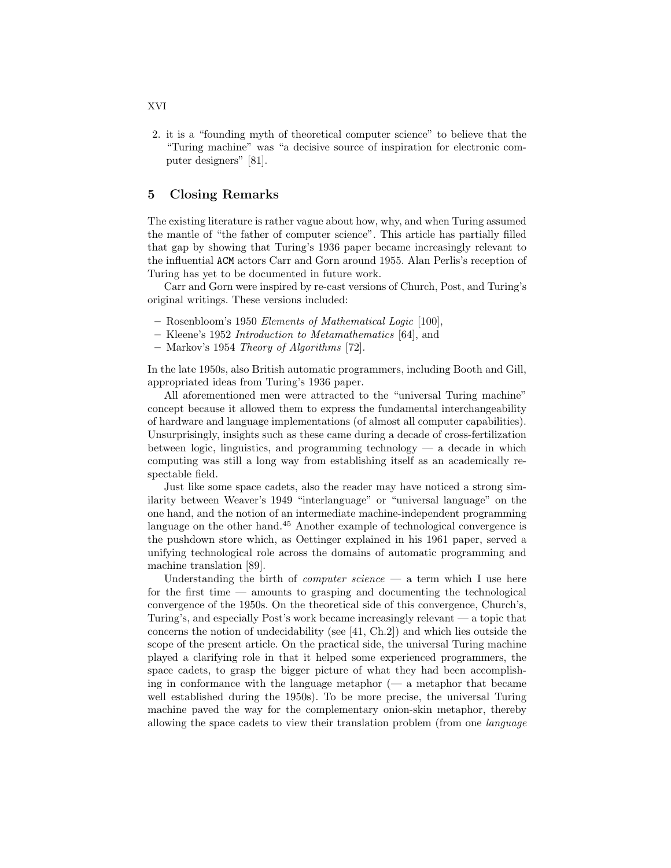2. it is a "founding myth of theoretical computer science" to believe that the "Turing machine" was "a decisive source of inspiration for electronic computer designers" [81].

## 5 Closing Remarks

The existing literature is rather vague about how, why, and when Turing assumed the mantle of "the father of computer science". This article has partially filled that gap by showing that Turing's 1936 paper became increasingly relevant to the influential ACM actors Carr and Gorn around 1955. Alan Perlis's reception of Turing has yet to be documented in future work.

Carr and Gorn were inspired by re-cast versions of Church, Post, and Turing's original writings. These versions included:

- Rosenbloom's 1950 Elements of Mathematical Logic [100],
- Kleene's 1952 Introduction to Metamathematics [64], and
- Markov's 1954 Theory of Algorithms [72].

In the late 1950s, also British automatic programmers, including Booth and Gill, appropriated ideas from Turing's 1936 paper.

All aforementioned men were attracted to the "universal Turing machine" concept because it allowed them to express the fundamental interchangeability of hardware and language implementations (of almost all computer capabilities). Unsurprisingly, insights such as these came during a decade of cross-fertilization between logic, linguistics, and programming technology  $\overline{a}$  a decade in which computing was still a long way from establishing itself as an academically respectable field.

Just like some space cadets, also the reader may have noticed a strong similarity between Weaver's 1949 "interlanguage" or "universal language" on the one hand, and the notion of an intermediate machine-independent programming language on the other hand.<sup>45</sup> Another example of technological convergence is the pushdown store which, as Oettinger explained in his 1961 paper, served a unifying technological role across the domains of automatic programming and machine translation [89].

Understanding the birth of *computer science*  $\frac{1}{1}$  a term which I use here for the first time — amounts to grasping and documenting the technological convergence of the 1950s. On the theoretical side of this convergence, Church's, Turing's, and especially Post's work became increasingly relevant — a topic that concerns the notion of undecidability (see [41, Ch.2]) and which lies outside the scope of the present article. On the practical side, the universal Turing machine played a clarifying role in that it helped some experienced programmers, the space cadets, to grasp the bigger picture of what they had been accomplishing in conformance with the language metaphor  $($ — a metaphor that became well established during the 1950s). To be more precise, the universal Turing machine paved the way for the complementary onion-skin metaphor, thereby allowing the space cadets to view their translation problem (from one language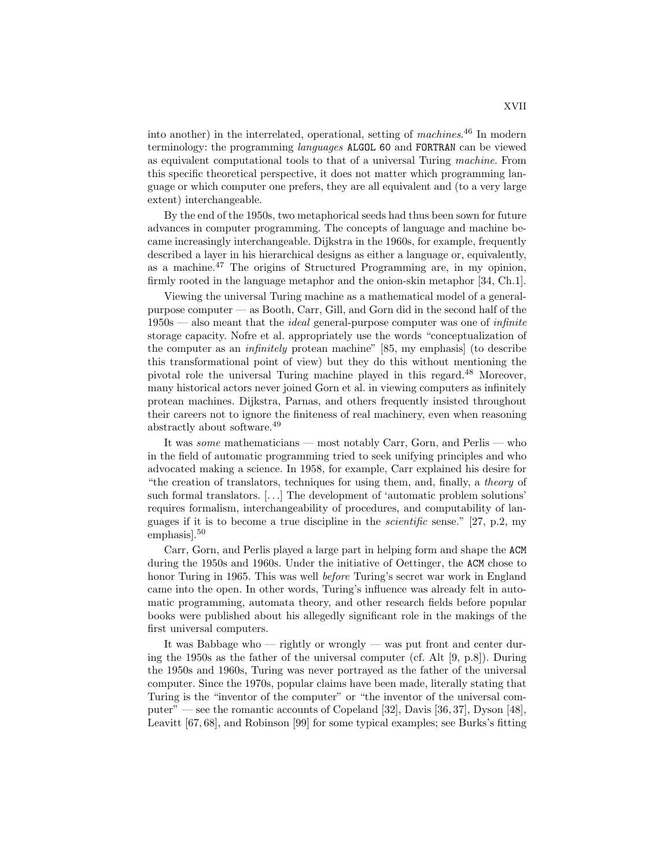into another) in the interrelated, operational, setting of machines. <sup>46</sup> In modern terminology: the programming languages ALGOL 60 and FORTRAN can be viewed as equivalent computational tools to that of a universal Turing machine. From this specific theoretical perspective, it does not matter which programming language or which computer one prefers, they are all equivalent and (to a very large extent) interchangeable.

By the end of the 1950s, two metaphorical seeds had thus been sown for future advances in computer programming. The concepts of language and machine became increasingly interchangeable. Dijkstra in the 1960s, for example, frequently described a layer in his hierarchical designs as either a language or, equivalently, as a machine.<sup>47</sup> The origins of Structured Programming are, in my opinion, firmly rooted in the language metaphor and the onion-skin metaphor [34, Ch.1].

Viewing the universal Turing machine as a mathematical model of a generalpurpose computer — as Booth, Carr, Gill, and Gorn did in the second half of the  $1950s$  — also meant that the *ideal* general-purpose computer was one of *infinite* storage capacity. Nofre et al. appropriately use the words "conceptualization of the computer as an infinitely protean machine" [85, my emphasis] (to describe this transformational point of view) but they do this without mentioning the pivotal role the universal Turing machine played in this regard.<sup>48</sup> Moreover, many historical actors never joined Gorn et al. in viewing computers as infinitely protean machines. Dijkstra, Parnas, and others frequently insisted throughout their careers not to ignore the finiteness of real machinery, even when reasoning abstractly about software.<sup>49</sup>

It was some mathematicians — most notably Carr, Gorn, and Perlis — who in the field of automatic programming tried to seek unifying principles and who advocated making a science. In 1958, for example, Carr explained his desire for "the creation of translators, techniques for using them, and, finally, a theory of such formal translators. [. . .] The development of 'automatic problem solutions' requires formalism, interchangeability of procedures, and computability of languages if it is to become a true discipline in the scientific sense." [27, p.2, my emphasis<sup>[50]</sup>

Carr, Gorn, and Perlis played a large part in helping form and shape the ACM during the 1950s and 1960s. Under the initiative of Oettinger, the ACM chose to honor Turing in 1965. This was well before Turing's secret war work in England came into the open. In other words, Turing's influence was already felt in automatic programming, automata theory, and other research fields before popular books were published about his allegedly significant role in the makings of the first universal computers.

It was Babbage who — rightly or wrongly — was put front and center during the 1950s as the father of the universal computer (cf. Alt [9, p.8]). During the 1950s and 1960s, Turing was never portrayed as the father of the universal computer. Since the 1970s, popular claims have been made, literally stating that Turing is the "inventor of the computer" or "the inventor of the universal computer" — see the romantic accounts of Copeland [32], Davis [36, 37], Dyson [48], Leavitt [67, 68], and Robinson [99] for some typical examples; see Burks's fitting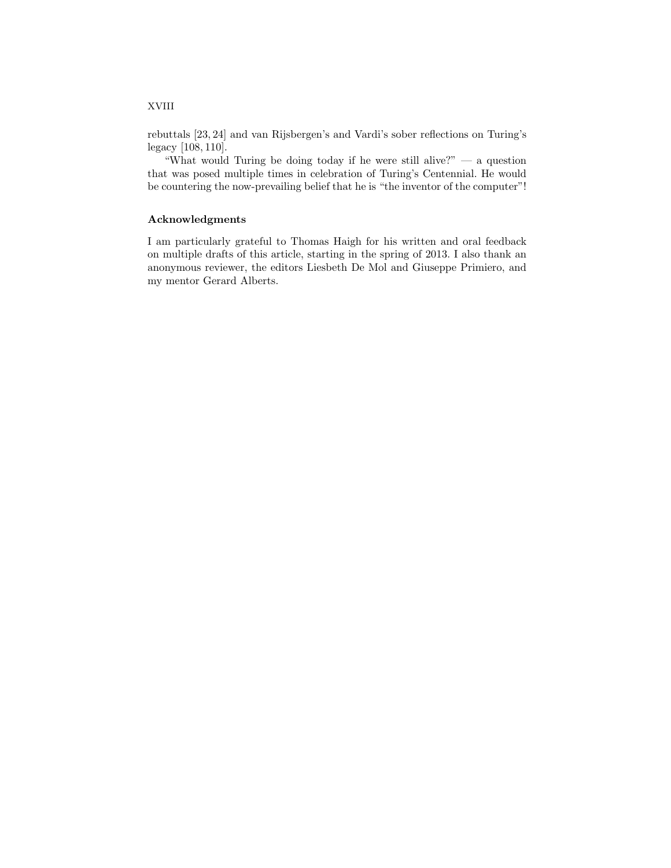rebuttals [23, 24] and van Rijsbergen's and Vardi's sober reflections on Turing's legacy [108, 110].

"What would Turing be doing today if he were still alive?" — a question that was posed multiple times in celebration of Turing's Centennial. He would be countering the now-prevailing belief that he is "the inventor of the computer"!

#### Acknowledgments

I am particularly grateful to Thomas Haigh for his written and oral feedback on multiple drafts of this article, starting in the spring of 2013. I also thank an anonymous reviewer, the editors Liesbeth De Mol and Giuseppe Primiero, and my mentor Gerard Alberts.

## XVIII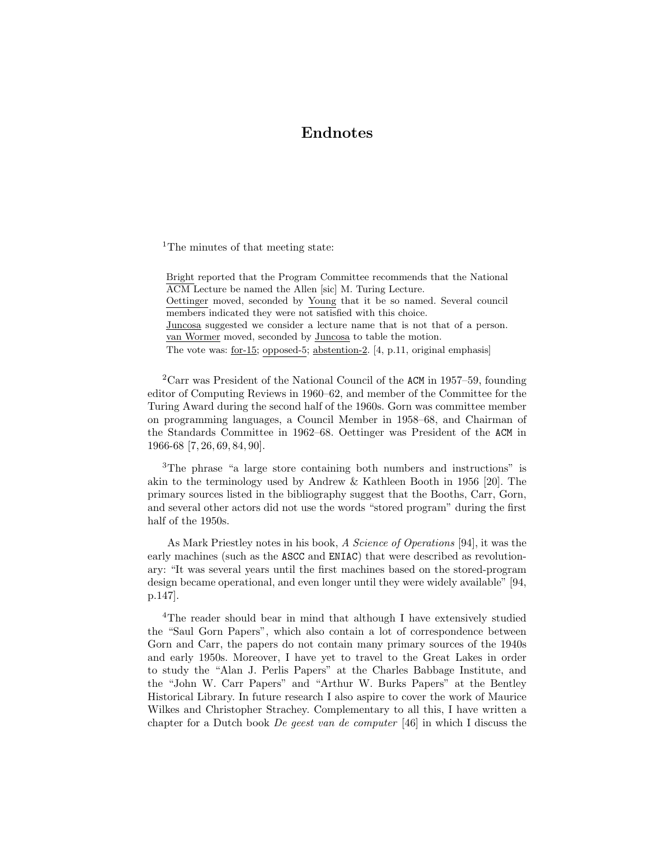# Endnotes

<sup>1</sup>The minutes of that meeting state:

Bright reported that the Program Committee recommends that the National ACM Lecture be named the Allen [sic] M. Turing Lecture. Oettinger moved, seconded by Young that it be so named. Several council members indicated they were not satisfied with this choice. Juncosa suggested we consider a lecture name that is not that of a person. van Wormer moved, seconded by Juncosa to table the motion. The vote was: for-15; opposed-5; abstention-2. [4, p.11, original emphasis]

 ${}^{2}$ Carr was President of the National Council of the ACM in 1957–59, founding editor of Computing Reviews in 1960–62, and member of the Committee for the Turing Award during the second half of the 1960s. Gorn was committee member on programming languages, a Council Member in 1958–68, and Chairman of the Standards Committee in 1962–68. Oettinger was President of the ACM in 1966-68 [7, 26, 69, 84, 90].

<sup>3</sup>The phrase "a large store containing both numbers and instructions" is akin to the terminology used by Andrew & Kathleen Booth in 1956 [20]. The primary sources listed in the bibliography suggest that the Booths, Carr, Gorn, and several other actors did not use the words "stored program" during the first half of the 1950s.

As Mark Priestley notes in his book, A Science of Operations [94], it was the early machines (such as the ASCC and ENIAC) that were described as revolutionary: "It was several years until the first machines based on the stored-program design became operational, and even longer until they were widely available" [94, p.147].

<sup>4</sup>The reader should bear in mind that although I have extensively studied the "Saul Gorn Papers", which also contain a lot of correspondence between Gorn and Carr, the papers do not contain many primary sources of the 1940s and early 1950s. Moreover, I have yet to travel to the Great Lakes in order to study the "Alan J. Perlis Papers" at the Charles Babbage Institute, and the "John W. Carr Papers" and "Arthur W. Burks Papers" at the Bentley Historical Library. In future research I also aspire to cover the work of Maurice Wilkes and Christopher Strachey. Complementary to all this, I have written a chapter for a Dutch book De geest van de computer [46] in which I discuss the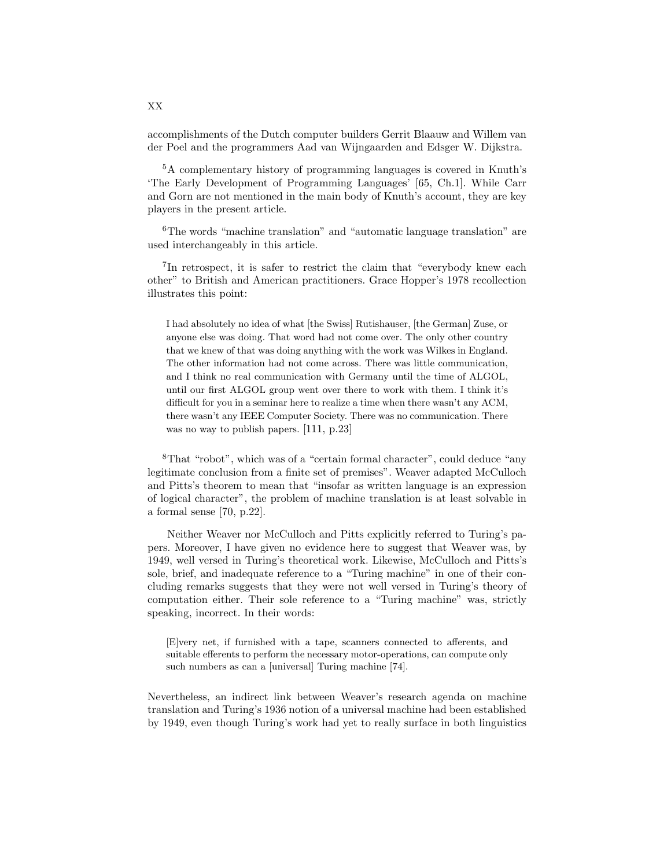accomplishments of the Dutch computer builders Gerrit Blaauw and Willem van der Poel and the programmers Aad van Wijngaarden and Edsger W. Dijkstra.

<sup>5</sup>A complementary history of programming languages is covered in Knuth's 'The Early Development of Programming Languages' [65, Ch.1]. While Carr and Gorn are not mentioned in the main body of Knuth's account, they are key players in the present article.

<sup>6</sup>The words "machine translation" and "automatic language translation" are used interchangeably in this article.

<sup>7</sup>In retrospect, it is safer to restrict the claim that "everybody knew each other" to British and American practitioners. Grace Hopper's 1978 recollection illustrates this point:

I had absolutely no idea of what [the Swiss] Rutishauser, [the German] Zuse, or anyone else was doing. That word had not come over. The only other country that we knew of that was doing anything with the work was Wilkes in England. The other information had not come across. There was little communication, and I think no real communication with Germany until the time of ALGOL, until our first ALGOL group went over there to work with them. I think it's difficult for you in a seminar here to realize a time when there wasn't any ACM, there wasn't any IEEE Computer Society. There was no communication. There was no way to publish papers. [111, p.23]

<sup>8</sup>That "robot", which was of a "certain formal character", could deduce "any legitimate conclusion from a finite set of premises". Weaver adapted McCulloch and Pitts's theorem to mean that "insofar as written language is an expression of logical character", the problem of machine translation is at least solvable in a formal sense [70, p.22].

Neither Weaver nor McCulloch and Pitts explicitly referred to Turing's papers. Moreover, I have given no evidence here to suggest that Weaver was, by 1949, well versed in Turing's theoretical work. Likewise, McCulloch and Pitts's sole, brief, and inadequate reference to a "Turing machine" in one of their concluding remarks suggests that they were not well versed in Turing's theory of computation either. Their sole reference to a "Turing machine" was, strictly speaking, incorrect. In their words:

[E]very net, if furnished with a tape, scanners connected to afferents, and suitable efferents to perform the necessary motor-operations, can compute only such numbers as can a [universal] Turing machine [74].

Nevertheless, an indirect link between Weaver's research agenda on machine translation and Turing's 1936 notion of a universal machine had been established by 1949, even though Turing's work had yet to really surface in both linguistics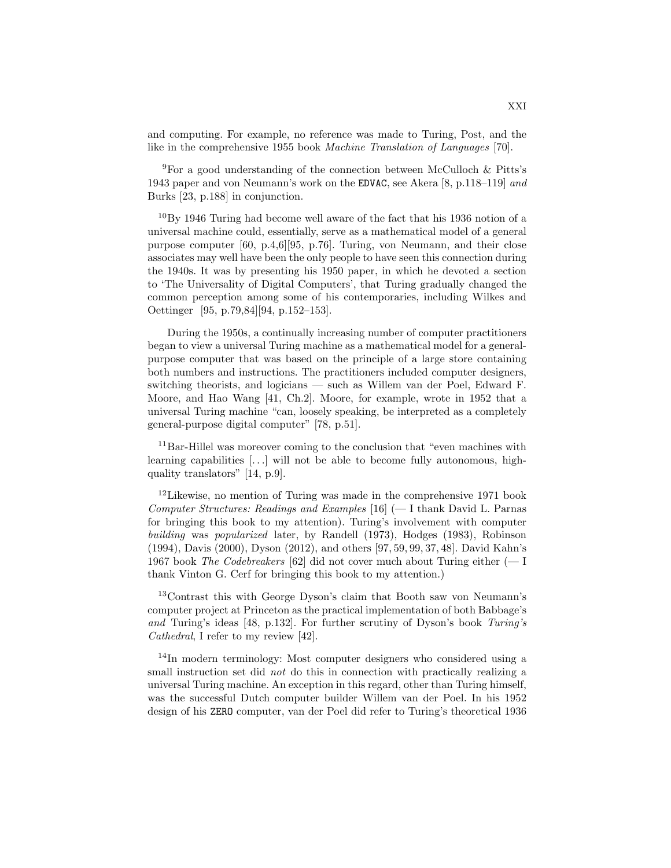and computing. For example, no reference was made to Turing, Post, and the like in the comprehensive 1955 book Machine Translation of Languages [70].

<sup>9</sup>For a good understanding of the connection between McCulloch & Pitts's 1943 paper and von Neumann's work on the EDVAC, see Akera [8, p.118–119] and Burks [23, p.188] in conjunction.

 $10Bv$  1946 Turing had become well aware of the fact that his 1936 notion of a universal machine could, essentially, serve as a mathematical model of a general purpose computer [60, p.4,6][95, p.76]. Turing, von Neumann, and their close associates may well have been the only people to have seen this connection during the 1940s. It was by presenting his 1950 paper, in which he devoted a section to 'The Universality of Digital Computers', that Turing gradually changed the common perception among some of his contemporaries, including Wilkes and Oettinger [95, p.79,84][94, p.152–153].

During the 1950s, a continually increasing number of computer practitioners began to view a universal Turing machine as a mathematical model for a generalpurpose computer that was based on the principle of a large store containing both numbers and instructions. The practitioners included computer designers, switching theorists, and logicians — such as Willem van der Poel, Edward F. Moore, and Hao Wang [41, Ch.2]. Moore, for example, wrote in 1952 that a universal Turing machine "can, loosely speaking, be interpreted as a completely general-purpose digital computer" [78, p.51].

<sup>11</sup>Bar-Hillel was moreover coming to the conclusion that "even machines with learning capabilities [. . .] will not be able to become fully autonomous, highquality translators" [14, p.9].

<sup>12</sup>Likewise, no mention of Turing was made in the comprehensive 1971 book Computer Structures: Readings and Examples [16] (— I thank David L. Parnas for bringing this book to my attention). Turing's involvement with computer building was popularized later, by Randell (1973), Hodges (1983), Robinson (1994), Davis (2000), Dyson (2012), and others [97, 59, 99, 37, 48]. David Kahn's 1967 book The Codebreakers [62] did not cover much about Turing either  $(-1)$ thank Vinton G. Cerf for bringing this book to my attention.)

<sup>13</sup>Contrast this with George Dyson's claim that Booth saw von Neumann's computer project at Princeton as the practical implementation of both Babbage's and Turing's ideas [48, p.132]. For further scrutiny of Dyson's book Turing's Cathedral, I refer to my review [42].

<sup>14</sup>In modern terminology: Most computer designers who considered using a small instruction set did *not* do this in connection with practically realizing a universal Turing machine. An exception in this regard, other than Turing himself, was the successful Dutch computer builder Willem van der Poel. In his 1952 design of his ZERO computer, van der Poel did refer to Turing's theoretical 1936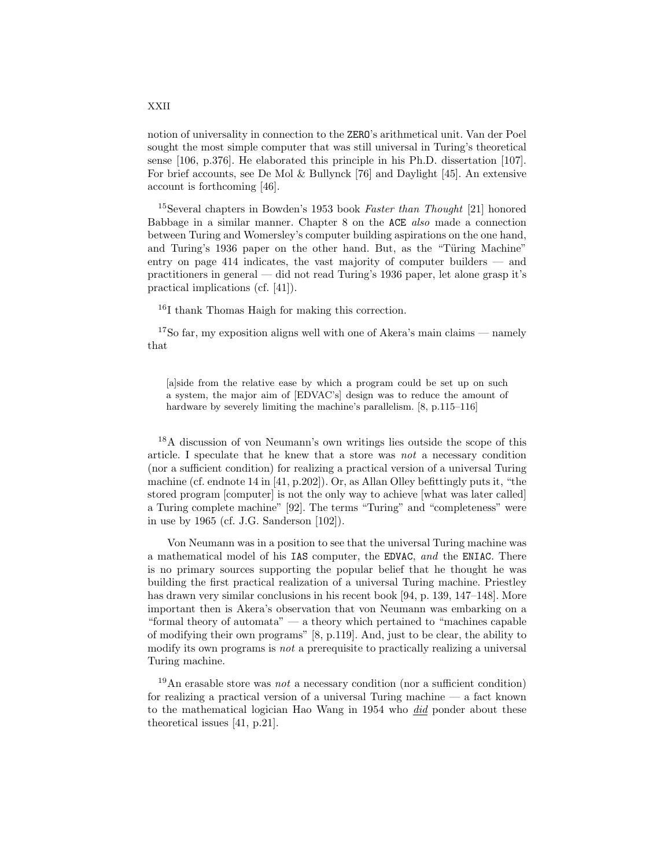notion of universality in connection to the ZERO's arithmetical unit. Van der Poel sought the most simple computer that was still universal in Turing's theoretical sense [106, p.376]. He elaborated this principle in his Ph.D. dissertation [107]. For brief accounts, see De Mol & Bullynck [76] and Daylight [45]. An extensive account is forthcoming [46].

<sup>15</sup>Several chapters in Bowden's 1953 book Faster than Thought [21] honored Babbage in a similar manner. Chapter 8 on the ACE also made a connection between Turing and Womersley's computer building aspirations on the one hand, and Turing's 1936 paper on the other hand. But, as the "Türing Machine" entry on page 414 indicates, the vast majority of computer builders — and practitioners in general — did not read Turing's 1936 paper, let alone grasp it's practical implications (cf. [41]).

<sup>16</sup>I thank Thomas Haigh for making this correction.

<sup>17</sup>So far, my exposition aligns well with one of Akera's main claims — namely that

[a]side from the relative ease by which a program could be set up on such a system, the major aim of [EDVAC's] design was to reduce the amount of hardware by severely limiting the machine's parallelism. [8, p.115–116]

<sup>18</sup>A discussion of von Neumann's own writings lies outside the scope of this article. I speculate that he knew that a store was not a necessary condition (nor a sufficient condition) for realizing a practical version of a universal Turing machine (cf. endnote 14 in [41, p.202]). Or, as Allan Olley befittingly puts it, "the stored program [computer] is not the only way to achieve [what was later called] a Turing complete machine" [92]. The terms "Turing" and "completeness" were in use by 1965 (cf. J.G. Sanderson [102]).

Von Neumann was in a position to see that the universal Turing machine was a mathematical model of his IAS computer, the EDVAC, and the ENIAC. There is no primary sources supporting the popular belief that he thought he was building the first practical realization of a universal Turing machine. Priestley has drawn very similar conclusions in his recent book [94, p. 139, 147–148]. More important then is Akera's observation that von Neumann was embarking on a "formal theory of automata"  $-$  a theory which pertained to "machines capable" of modifying their own programs" [8, p.119]. And, just to be clear, the ability to modify its own programs is not a prerequisite to practically realizing a universal Turing machine.

<sup>19</sup>An erasable store was *not* a necessary condition (nor a sufficient condition) for realizing a practical version of a universal Turing machine — a fact known to the mathematical logician Hao Wang in  $1954$  who  $\frac{did}{\text{ }}$  ponder about these theoretical issues [41, p.21].

XXII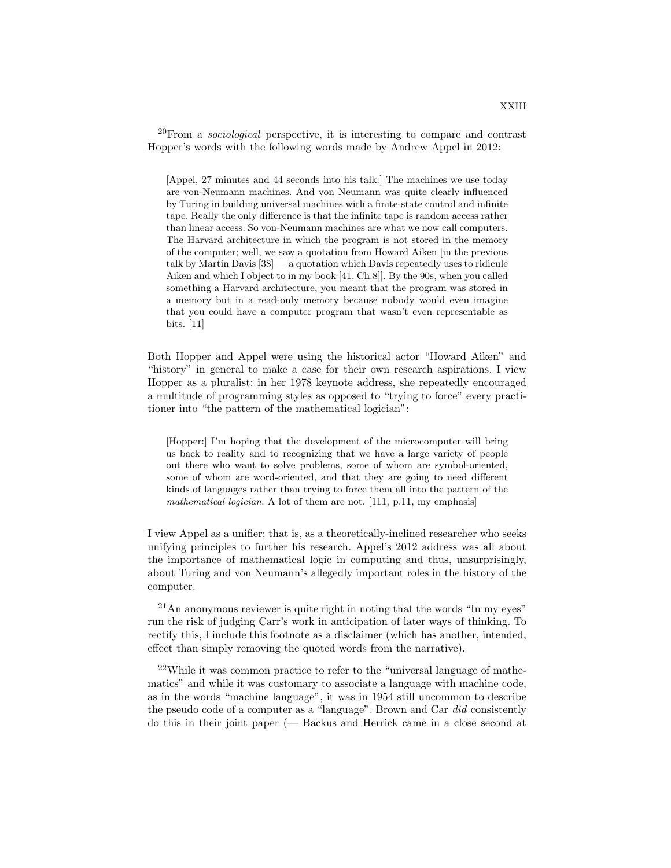$^{20}$ From a *sociological* perspective, it is interesting to compare and contrast Hopper's words with the following words made by Andrew Appel in 2012:

[Appel, 27 minutes and 44 seconds into his talk:] The machines we use today are von-Neumann machines. And von Neumann was quite clearly influenced by Turing in building universal machines with a finite-state control and infinite tape. Really the only difference is that the infinite tape is random access rather than linear access. So von-Neumann machines are what we now call computers. The Harvard architecture in which the program is not stored in the memory of the computer; well, we saw a quotation from Howard Aiken [in the previous talk by Martin Davis [38] — a quotation which Davis repeatedly uses to ridicule Aiken and which I object to in my book [41, Ch.8]]. By the 90s, when you called something a Harvard architecture, you meant that the program was stored in a memory but in a read-only memory because nobody would even imagine that you could have a computer program that wasn't even representable as bits. [11]

Both Hopper and Appel were using the historical actor "Howard Aiken" and "history" in general to make a case for their own research aspirations. I view Hopper as a pluralist; in her 1978 keynote address, she repeatedly encouraged a multitude of programming styles as opposed to "trying to force" every practitioner into "the pattern of the mathematical logician":

[Hopper:] I'm hoping that the development of the microcomputer will bring us back to reality and to recognizing that we have a large variety of people out there who want to solve problems, some of whom are symbol-oriented, some of whom are word-oriented, and that they are going to need different kinds of languages rather than trying to force them all into the pattern of the mathematical logician. A lot of them are not. [111, p.11, my emphasis]

I view Appel as a unifier; that is, as a theoretically-inclined researcher who seeks unifying principles to further his research. Appel's 2012 address was all about the importance of mathematical logic in computing and thus, unsurprisingly, about Turing and von Neumann's allegedly important roles in the history of the computer.

 $21$ An anonymous reviewer is quite right in noting that the words "In my eyes" run the risk of judging Carr's work in anticipation of later ways of thinking. To rectify this, I include this footnote as a disclaimer (which has another, intended, effect than simply removing the quoted words from the narrative).

 $22$ While it was common practice to refer to the "universal language of mathematics" and while it was customary to associate a language with machine code, as in the words "machine language", it was in 1954 still uncommon to describe the pseudo code of a computer as a "language". Brown and Car did consistently do this in their joint paper (— Backus and Herrick came in a close second at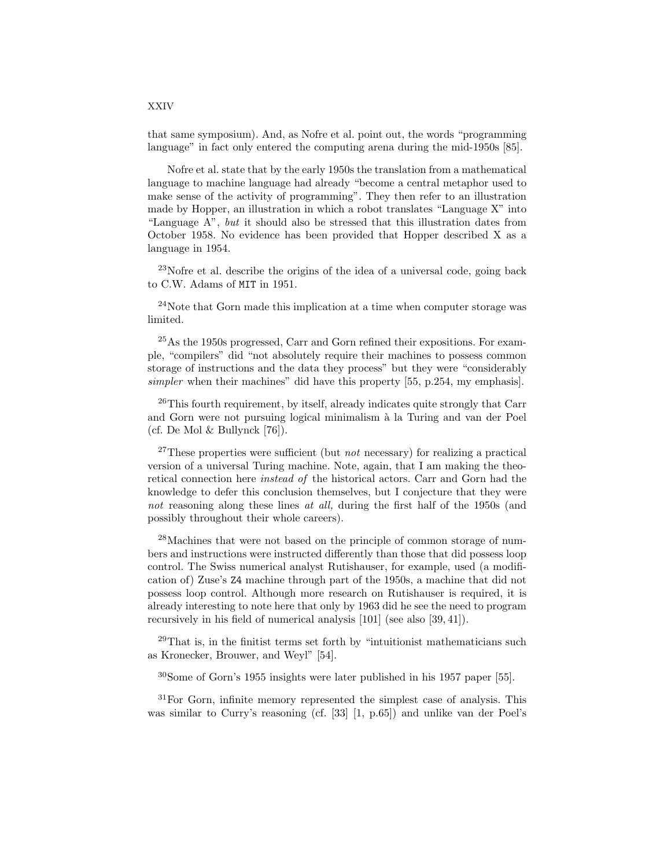that same symposium). And, as Nofre et al. point out, the words "programming language" in fact only entered the computing arena during the mid-1950s [85].

Nofre et al. state that by the early 1950s the translation from a mathematical language to machine language had already "become a central metaphor used to make sense of the activity of programming". They then refer to an illustration made by Hopper, an illustration in which a robot translates "Language X" into "Language A", but it should also be stressed that this illustration dates from October 1958. No evidence has been provided that Hopper described X as a language in 1954.

<sup>23</sup>Nofre et al. describe the origins of the idea of a universal code, going back to C.W. Adams of MIT in 1951.

 $^{24}$ Note that Gorn made this implication at a time when computer storage was limited.

<sup>25</sup>As the 1950s progressed, Carr and Gorn refined their expositions. For example, "compilers" did "not absolutely require their machines to possess common storage of instructions and the data they process" but they were "considerably simpler when their machines" did have this property [55, p.254, my emphasis].

<sup>26</sup>This fourth requirement, by itself, already indicates quite strongly that Carr and Gorn were not pursuing logical minimalism `a la Turing and van der Poel (cf. De Mol & Bullynck [76]).

<sup>27</sup>These properties were sufficient (but *not* necessary) for realizing a practical version of a universal Turing machine. Note, again, that I am making the theoretical connection here instead of the historical actors. Carr and Gorn had the knowledge to defer this conclusion themselves, but I conjecture that they were not reasoning along these lines at all, during the first half of the 1950s (and possibly throughout their whole careers).

<sup>28</sup>Machines that were not based on the principle of common storage of numbers and instructions were instructed differently than those that did possess loop control. The Swiss numerical analyst Rutishauser, for example, used (a modification of) Zuse's Z4 machine through part of the 1950s, a machine that did not possess loop control. Although more research on Rutishauser is required, it is already interesting to note here that only by 1963 did he see the need to program recursively in his field of numerical analysis [101] (see also [39, 41]).

 $29$ That is, in the finitist terms set forth by "intuitionist mathematicians such as Kronecker, Brouwer, and Weyl" [54].

<sup>30</sup>Some of Gorn's 1955 insights were later published in his 1957 paper [55].

 $31$  For Gorn, infinite memory represented the simplest case of analysis. This was similar to Curry's reasoning (cf. [33] [1, p.65]) and unlike van der Poel's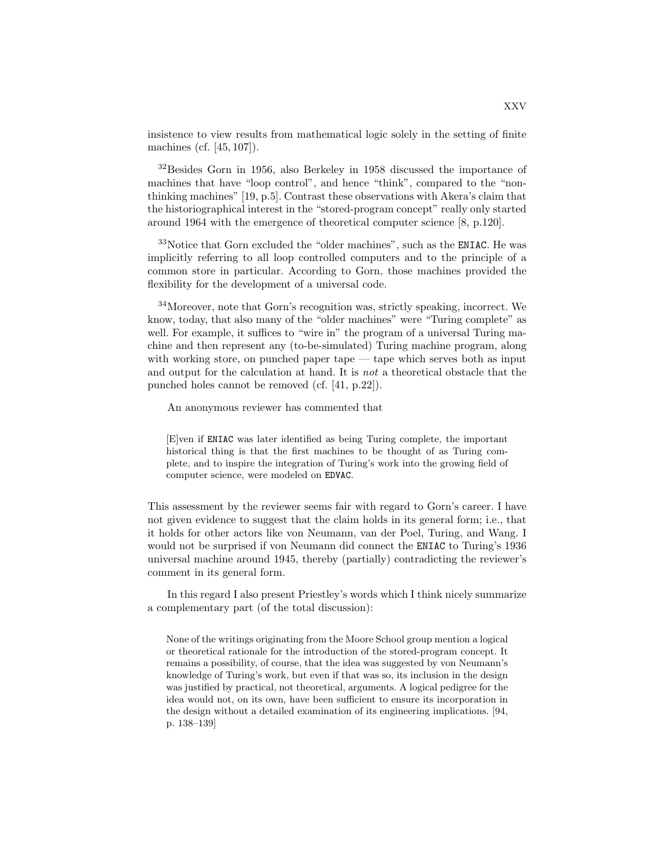insistence to view results from mathematical logic solely in the setting of finite machines (cf. [45, 107]).

<sup>32</sup>Besides Gorn in 1956, also Berkeley in 1958 discussed the importance of machines that have "loop control", and hence "think", compared to the "nonthinking machines" [19, p.5]. Contrast these observations with Akera's claim that the historiographical interest in the "stored-program concept" really only started around 1964 with the emergence of theoretical computer science [8, p.120].

<sup>33</sup>Notice that Gorn excluded the "older machines", such as the ENIAC. He was implicitly referring to all loop controlled computers and to the principle of a common store in particular. According to Gorn, those machines provided the flexibility for the development of a universal code.

<sup>34</sup>Moreover, note that Gorn's recognition was, strictly speaking, incorrect. We know, today, that also many of the "older machines" were "Turing complete" as well. For example, it suffices to "wire in" the program of a universal Turing machine and then represent any (to-be-simulated) Turing machine program, along with working store, on punched paper tape — tape which serves both as input and output for the calculation at hand. It is not a theoretical obstacle that the punched holes cannot be removed (cf. [41, p.22]).

An anonymous reviewer has commented that

[E]ven if ENIAC was later identified as being Turing complete, the important historical thing is that the first machines to be thought of as Turing complete, and to inspire the integration of Turing's work into the growing field of computer science, were modeled on EDVAC.

This assessment by the reviewer seems fair with regard to Gorn's career. I have not given evidence to suggest that the claim holds in its general form; i.e., that it holds for other actors like von Neumann, van der Poel, Turing, and Wang. I would not be surprised if von Neumann did connect the ENIAC to Turing's 1936 universal machine around 1945, thereby (partially) contradicting the reviewer's comment in its general form.

In this regard I also present Priestley's words which I think nicely summarize a complementary part (of the total discussion):

None of the writings originating from the Moore School group mention a logical or theoretical rationale for the introduction of the stored-program concept. It remains a possibility, of course, that the idea was suggested by von Neumann's knowledge of Turing's work, but even if that was so, its inclusion in the design was justified by practical, not theoretical, arguments. A logical pedigree for the idea would not, on its own, have been sufficient to ensure its incorporation in the design without a detailed examination of its engineering implications. [94, p. 138–139]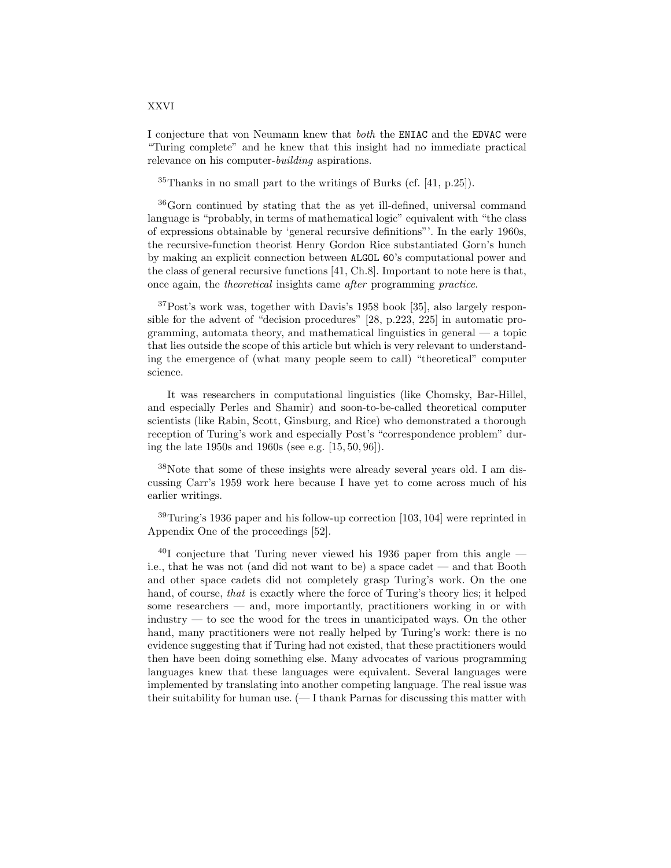#### XXVI

I conjecture that von Neumann knew that both the ENIAC and the EDVAC were "Turing complete" and he knew that this insight had no immediate practical relevance on his computer-*building* aspirations.

 $35$ Thanks in no small part to the writings of Burks (cf. [41, p.25]).

<sup>36</sup>Gorn continued by stating that the as yet ill-defined, universal command language is "probably, in terms of mathematical logic" equivalent with "the class of expressions obtainable by 'general recursive definitions"'. In the early 1960s, the recursive-function theorist Henry Gordon Rice substantiated Gorn's hunch by making an explicit connection between ALGOL 60's computational power and the class of general recursive functions [41, Ch.8]. Important to note here is that, once again, the theoretical insights came after programming practice.

<sup>37</sup>Post's work was, together with Davis's 1958 book [35], also largely responsible for the advent of "decision procedures" [28, p.223, 225] in automatic programming, automata theory, and mathematical linguistics in general  $-$  a topic that lies outside the scope of this article but which is very relevant to understanding the emergence of (what many people seem to call) "theoretical" computer science.

It was researchers in computational linguistics (like Chomsky, Bar-Hillel, and especially Perles and Shamir) and soon-to-be-called theoretical computer scientists (like Rabin, Scott, Ginsburg, and Rice) who demonstrated a thorough reception of Turing's work and especially Post's "correspondence problem" during the late 1950s and 1960s (see e.g. [15, 50, 96]).

<sup>38</sup>Note that some of these insights were already several years old. I am discussing Carr's 1959 work here because I have yet to come across much of his earlier writings.

 $39$ Turing's 1936 paper and his follow-up correction [103, 104] were reprinted in Appendix One of the proceedings [52].

 $^{40}I$  conjecture that Turing never viewed his 1936 paper from this angle  $$ i.e., that he was not (and did not want to be) a space cadet — and that Booth and other space cadets did not completely grasp Turing's work. On the one hand, of course, that is exactly where the force of Turing's theory lies; it helped some researchers — and, more importantly, practitioners working in or with industry — to see the wood for the trees in unanticipated ways. On the other hand, many practitioners were not really helped by Turing's work: there is no evidence suggesting that if Turing had not existed, that these practitioners would then have been doing something else. Many advocates of various programming languages knew that these languages were equivalent. Several languages were implemented by translating into another competing language. The real issue was their suitability for human use. (— I thank Parnas for discussing this matter with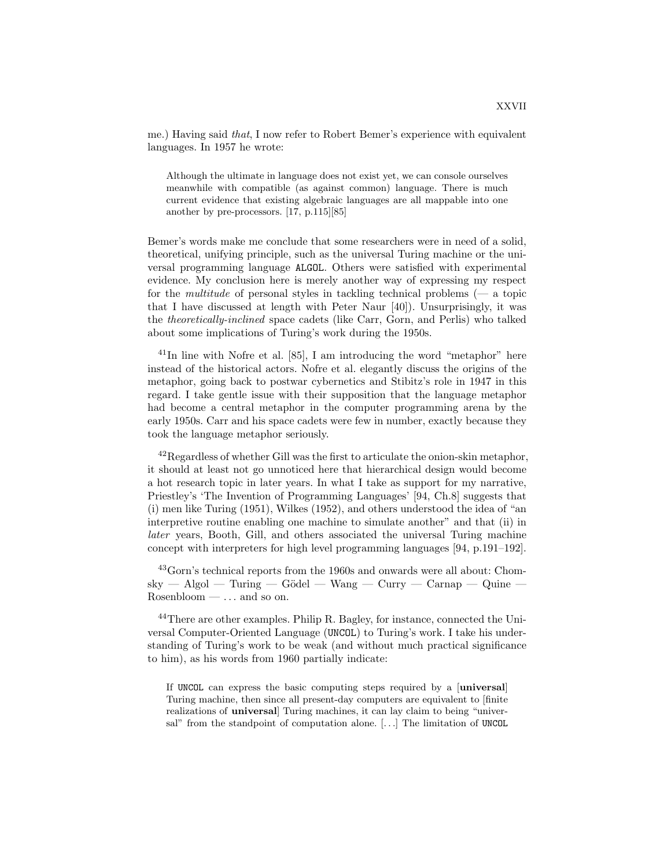me.) Having said that, I now refer to Robert Bemer's experience with equivalent languages. In 1957 he wrote:

Although the ultimate in language does not exist yet, we can console ourselves meanwhile with compatible (as against common) language. There is much current evidence that existing algebraic languages are all mappable into one another by pre-processors. [17, p.115][85]

Bemer's words make me conclude that some researchers were in need of a solid, theoretical, unifying principle, such as the universal Turing machine or the universal programming language ALGOL. Others were satisfied with experimental evidence. My conclusion here is merely another way of expressing my respect for the *multitude* of personal styles in tackling technical problems  $(-a)$  topic that I have discussed at length with Peter Naur [40]). Unsurprisingly, it was the theoretically-inclined space cadets (like Carr, Gorn, and Perlis) who talked about some implications of Turing's work during the 1950s.

 $^{41}$ In line with Nofre et al. [85], I am introducing the word "metaphor" here instead of the historical actors. Nofre et al. elegantly discuss the origins of the metaphor, going back to postwar cybernetics and Stibitz's role in 1947 in this regard. I take gentle issue with their supposition that the language metaphor had become a central metaphor in the computer programming arena by the early 1950s. Carr and his space cadets were few in number, exactly because they took the language metaphor seriously.

 $^{42}$ Regardless of whether Gill was the first to articulate the onion-skin metaphor, it should at least not go unnoticed here that hierarchical design would become a hot research topic in later years. In what I take as support for my narrative, Priestley's 'The Invention of Programming Languages' [94, Ch.8] suggests that (i) men like Turing (1951), Wilkes (1952), and others understood the idea of "an interpretive routine enabling one machine to simulate another" and that (ii) in later years, Booth, Gill, and others associated the universal Turing machine concept with interpreters for high level programming languages [94, p.191–192].

<sup>43</sup>Gorn's technical reports from the 1960s and onwards were all about: Chom- $\text{sky} - \text{Algol} - \text{Turing} - \text{Gödel} - \text{Wang} - \text{Carry} - \text{Carnap} - \text{Quine} - \text{Carnap} - \text{Carnap} - \text{Carnap} - \text{Carnap} - \text{Carnap} - \text{Carnap} - \text{Carnap} - \text{Carnap} - \text{Carnap} - \text{Carnap} - \text{Carnap} - \text{Carnap} - \text{Carnap} - \text{Carnap} - \text{Carnap} - \text{Carnap} - \text{Carnap} - \text{Carnap} - \text{Carnap} - \text{Carnap} - \text$ Rosenbloom —  $\ldots$  and so on.

 $^{44}$ There are other examples. Philip R. Bagley, for instance, connected the Universal Computer-Oriented Language (UNCOL) to Turing's work. I take his understanding of Turing's work to be weak (and without much practical significance to him), as his words from 1960 partially indicate:

If UNCOL can express the basic computing steps required by a [universal] Turing machine, then since all present-day computers are equivalent to [finite realizations of universal] Turing machines, it can lay claim to being "universal" from the standpoint of computation alone. [. . .] The limitation of UNCOL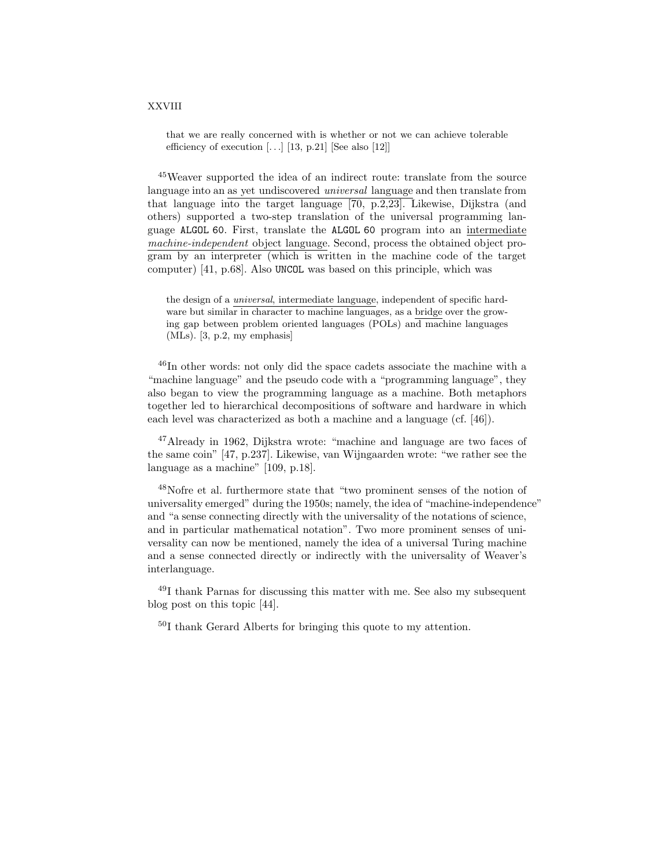#### XXVIII

that we are really concerned with is whether or not we can achieve tolerable efficiency of execution  $[...]$  [13, p.21] [See also [12]]

<sup>45</sup>Weaver supported the idea of an indirect route: translate from the source language into an as yet undiscovered universal language and then translate from that language into the target language [70, p.2,23]. Likewise, Dijkstra (and others) supported a two-step translation of the universal programming language ALGOL 60. First, translate the ALGOL 60 program into an intermediate machine-independent object language. Second, process the obtained object program by an interpreter (which is written in the machine code of the target computer) [41, p.68]. Also UNCOL was based on this principle, which was

the design of a universal, intermediate language, independent of specific hardware but similar in character to machine languages, as a bridge over the growing gap between problem oriented languages (POLs) and machine languages (MLs). [3, p.2, my emphasis]

<sup>46</sup>In other words: not only did the space cadets associate the machine with a "machine language" and the pseudo code with a "programming language", they also began to view the programming language as a machine. Both metaphors together led to hierarchical decompositions of software and hardware in which each level was characterized as both a machine and a language (cf. [46]).

<sup>47</sup>Already in 1962, Dijkstra wrote: "machine and language are two faces of the same coin" [47, p.237]. Likewise, van Wijngaarden wrote: "we rather see the language as a machine" [109, p.18].

<sup>48</sup>Nofre et al. furthermore state that "two prominent senses of the notion of universality emerged" during the 1950s; namely, the idea of "machine-independence" and "a sense connecting directly with the universality of the notations of science, and in particular mathematical notation". Two more prominent senses of universality can now be mentioned, namely the idea of a universal Turing machine and a sense connected directly or indirectly with the universality of Weaver's interlanguage.

<sup>49</sup>I thank Parnas for discussing this matter with me. See also my subsequent blog post on this topic [44].

<sup>50</sup>I thank Gerard Alberts for bringing this quote to my attention.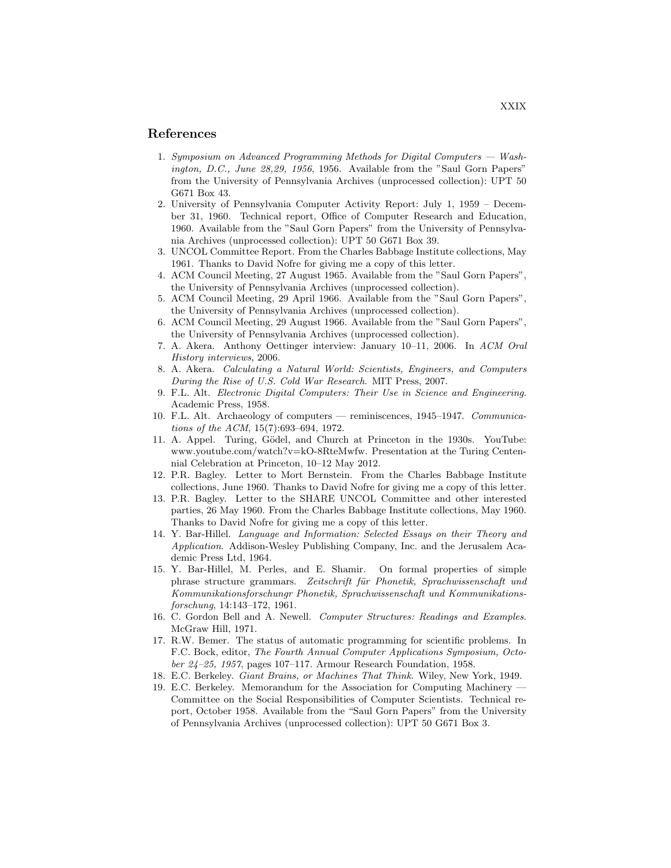## References

- 1. Symposium on Advanced Programming Methods for Digital Computers Washington, D.C., June 28,29, 1956, 1956. Available from the "Saul Gorn Papers" from the University of Pennsylvania Archives (unprocessed collection): UPT 50 G671 Box 43.
- 2. University of Pennsylvania Computer Activity Report: July 1, 1959 December 31, 1960. Technical report, Office of Computer Research and Education, 1960. Available from the "Saul Gorn Papers" from the University of Pennsylvania Archives (unprocessed collection): UPT 50 G671 Box 39.
- 3. UNCOL Committee Report. From the Charles Babbage Institute collections, May 1961. Thanks to David Nofre for giving me a copy of this letter.
- 4. ACM Council Meeting, 27 August 1965. Available from the "Saul Gorn Papers", the University of Pennsylvania Archives (unprocessed collection).
- 5. ACM Council Meeting, 29 April 1966. Available from the "Saul Gorn Papers", the University of Pennsylvania Archives (unprocessed collection).
- 6. ACM Council Meeting, 29 August 1966. Available from the "Saul Gorn Papers", the University of Pennsylvania Archives (unprocessed collection).
- 7. A. Akera. Anthony Oettinger interview: January 10–11, 2006. In ACM Oral History interviews, 2006.
- 8. A. Akera. Calculating a Natural World: Scientists, Engineers, and Computers During the Rise of U.S. Cold War Research. MIT Press, 2007.
- 9. F.L. Alt. Electronic Digital Computers: Their Use in Science and Engineering. Academic Press, 1958.
- 10. F.L. Alt. Archaeology of computers reminiscences, 1945–1947. Communications of the ACM, 15(7):693–694, 1972.
- 11. A. Appel. Turing, Gödel, and Church at Princeton in the 1930s. YouTube: www.youtube.com/watch?v=kO-8RteMwfw. Presentation at the Turing Centennial Celebration at Princeton, 10–12 May 2012.
- 12. P.R. Bagley. Letter to Mort Bernstein. From the Charles Babbage Institute collections, June 1960. Thanks to David Nofre for giving me a copy of this letter.
- 13. P.R. Bagley. Letter to the SHARE UNCOL Committee and other interested parties, 26 May 1960. From the Charles Babbage Institute collections, May 1960. Thanks to David Nofre for giving me a copy of this letter.
- 14. Y. Bar-Hillel. Language and Information: Selected Essays on their Theory and Application. Addison-Wesley Publishing Company, Inc. and the Jerusalem Academic Press Ltd, 1964.
- 15. Y. Bar-Hillel, M. Perles, and E. Shamir. On formal properties of simple phrase structure grammars. Zeitschrift für Phonetik, Sprachwissenschaft und Kommunikationsforschungr Phonetik, Sprachwissenschaft und Kommunikationsforschung, 14:143–172, 1961.
- 16. C. Gordon Bell and A. Newell. Computer Structures: Readings and Examples. McGraw Hill, 1971.
- 17. R.W. Bemer. The status of automatic programming for scientific problems. In F.C. Bock, editor, The Fourth Annual Computer Applications Symposium, October 24–25, 1957, pages 107–117. Armour Research Foundation, 1958.
- 18. E.C. Berkeley. Giant Brains, or Machines That Think. Wiley, New York, 1949.
- 19. E.C. Berkeley. Memorandum for the Association for Computing Machinery Committee on the Social Responsibilities of Computer Scientists. Technical report, October 1958. Available from the "Saul Gorn Papers" from the University of Pennsylvania Archives (unprocessed collection): UPT 50 G671 Box 3.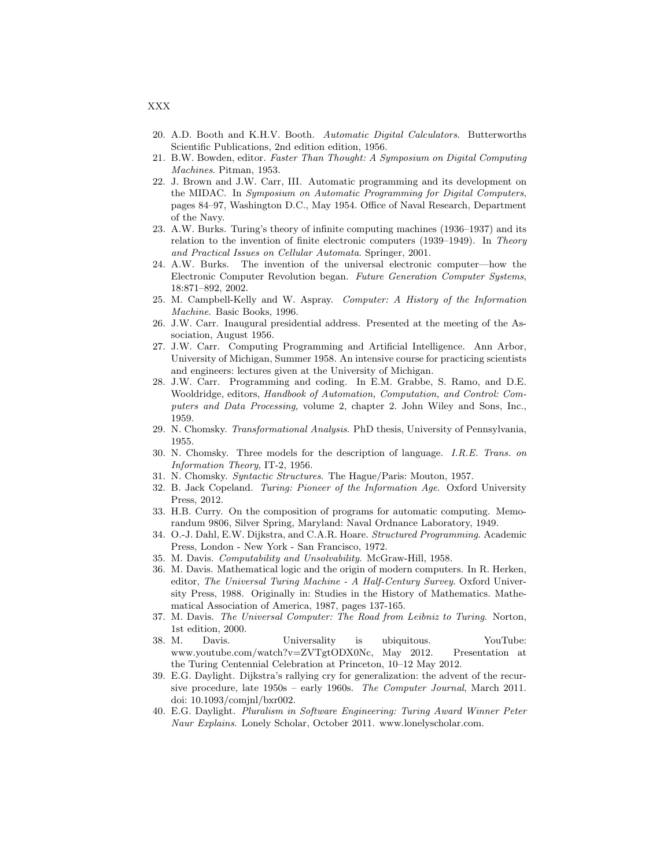- 20. A.D. Booth and K.H.V. Booth. Automatic Digital Calculators. Butterworths Scientific Publications, 2nd edition edition, 1956.
- 21. B.W. Bowden, editor. Faster Than Thought: A Symposium on Digital Computing Machines. Pitman, 1953.
- 22. J. Brown and J.W. Carr, III. Automatic programming and its development on the MIDAC. In Symposium on Automatic Programming for Digital Computers, pages 84–97, Washington D.C., May 1954. Office of Naval Research, Department of the Navy.
- 23. A.W. Burks. Turing's theory of infinite computing machines (1936–1937) and its relation to the invention of finite electronic computers (1939–1949). In Theory and Practical Issues on Cellular Automata. Springer, 2001.
- 24. A.W. Burks. The invention of the universal electronic computer—how the Electronic Computer Revolution began. Future Generation Computer Systems, 18:871–892, 2002.
- 25. M. Campbell-Kelly and W. Aspray. Computer: A History of the Information Machine. Basic Books, 1996.
- 26. J.W. Carr. Inaugural presidential address. Presented at the meeting of the Association, August 1956.
- 27. J.W. Carr. Computing Programming and Artificial Intelligence. Ann Arbor, University of Michigan, Summer 1958. An intensive course for practicing scientists and engineers: lectures given at the University of Michigan.
- 28. J.W. Carr. Programming and coding. In E.M. Grabbe, S. Ramo, and D.E. Wooldridge, editors, Handbook of Automation, Computation, and Control: Computers and Data Processing, volume 2, chapter 2. John Wiley and Sons, Inc., 1959.
- 29. N. Chomsky. Transformational Analysis. PhD thesis, University of Pennsylvania, 1955.
- 30. N. Chomsky. Three models for the description of language. I.R.E. Trans. on Information Theory, IT-2, 1956.
- 31. N. Chomsky. Syntactic Structures. The Hague/Paris: Mouton, 1957.
- 32. B. Jack Copeland. Turing: Pioneer of the Information Age. Oxford University Press, 2012.
- 33. H.B. Curry. On the composition of programs for automatic computing. Memorandum 9806, Silver Spring, Maryland: Naval Ordnance Laboratory, 1949.
- 34. O.-J. Dahl, E.W. Dijkstra, and C.A.R. Hoare. Structured Programming. Academic Press, London - New York - San Francisco, 1972.
- 35. M. Davis. Computability and Unsolvability. McGraw-Hill, 1958.
- 36. M. Davis. Mathematical logic and the origin of modern computers. In R. Herken, editor, The Universal Turing Machine - A Half-Century Survey. Oxford University Press, 1988. Originally in: Studies in the History of Mathematics. Mathematical Association of America, 1987, pages 137-165.
- 37. M. Davis. The Universal Computer: The Road from Leibniz to Turing. Norton, 1st edition, 2000.
- 38. M. Davis. Universality is ubiquitous. YouTube: www.youtube.com/watch?v=ZVTgtODX0Nc, May 2012. Presentation at the Turing Centennial Celebration at Princeton, 10–12 May 2012.
- 39. E.G. Daylight. Dijkstra's rallying cry for generalization: the advent of the recursive procedure, late 1950s – early 1960s. The Computer Journal, March 2011. doi: 10.1093/comjnl/bxr002.
- 40. E.G. Daylight. Pluralism in Software Engineering: Turing Award Winner Peter Naur Explains. Lonely Scholar, October 2011. www.lonelyscholar.com.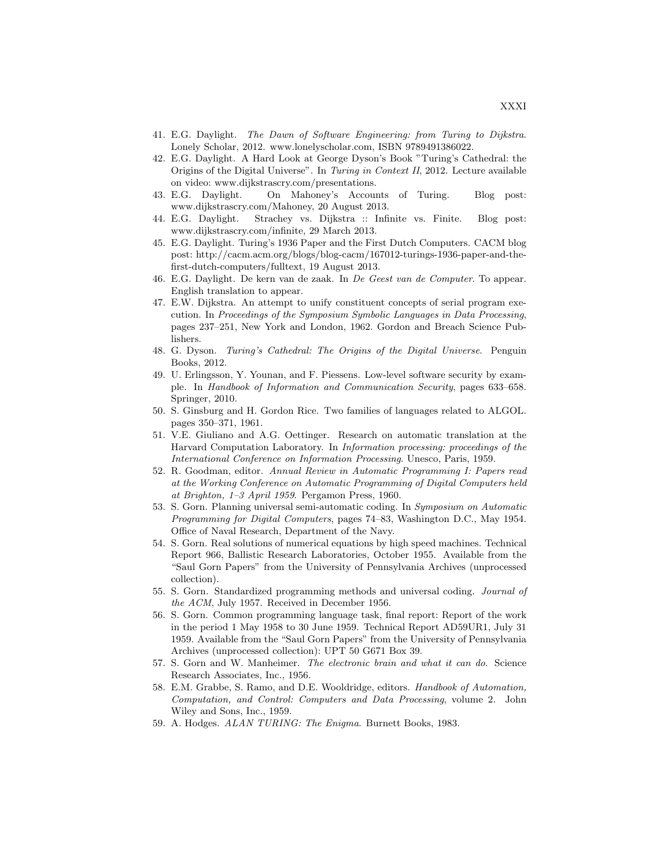- 41. E.G. Daylight. The Dawn of Software Engineering: from Turing to Dijkstra. Lonely Scholar, 2012. www.lonelyscholar.com, ISBN 9789491386022.
- 42. E.G. Daylight. A Hard Look at George Dyson's Book "Turing's Cathedral: the Origins of the Digital Universe". In Turing in Context II, 2012. Lecture available on video: www.dijkstrascry.com/presentations.
- 43. E.G. Daylight. On Mahoney's Accounts of Turing. Blog post: www.dijkstrascry.com/Mahoney, 20 August 2013.
- 44. E.G. Daylight. Strachey vs. Dijkstra :: Infinite vs. Finite. Blog post: www.dijkstrascry.com/infinite, 29 March 2013.
- 45. E.G. Daylight. Turing's 1936 Paper and the First Dutch Computers. CACM blog post: http://cacm.acm.org/blogs/blog-cacm/167012-turings-1936-paper-and-thefirst-dutch-computers/fulltext, 19 August 2013.
- 46. E.G. Daylight. De kern van de zaak. In De Geest van de Computer. To appear. English translation to appear.
- 47. E.W. Dijkstra. An attempt to unify constituent concepts of serial program execution. In Proceedings of the Symposium Symbolic Languages in Data Processing, pages 237–251, New York and London, 1962. Gordon and Breach Science Publishers.
- 48. G. Dyson. Turing's Cathedral: The Origins of the Digital Universe. Penguin Books, 2012.
- 49. U. Erlingsson, Y. Younan, and F. Piessens. Low-level software security by example. In Handbook of Information and Communication Security, pages 633–658. Springer, 2010.
- 50. S. Ginsburg and H. Gordon Rice. Two families of languages related to ALGOL. pages 350–371, 1961.
- 51. V.E. Giuliano and A.G. Oettinger. Research on automatic translation at the Harvard Computation Laboratory. In Information processing: proceedings of the International Conference on Information Processing. Unesco, Paris, 1959.
- 52. R. Goodman, editor. Annual Review in Automatic Programming I: Papers read at the Working Conference on Automatic Programming of Digital Computers held at Brighton,  $1-3$  April 1959. Pergamon Press, 1960.
- 53. S. Gorn. Planning universal semi-automatic coding. In Symposium on Automatic Programming for Digital Computers, pages 74–83, Washington D.C., May 1954. Office of Naval Research, Department of the Navy.
- 54. S. Gorn. Real solutions of numerical equations by high speed machines. Technical Report 966, Ballistic Research Laboratories, October 1955. Available from the "Saul Gorn Papers" from the University of Pennsylvania Archives (unprocessed collection).
- 55. S. Gorn. Standardized programming methods and universal coding. Journal of the ACM, July 1957. Received in December 1956.
- 56. S. Gorn. Common programming language task, final report: Report of the work in the period 1 May 1958 to 30 June 1959. Technical Report AD59UR1, July 31 1959. Available from the "Saul Gorn Papers" from the University of Pennsylvania Archives (unprocessed collection): UPT 50 G671 Box 39.
- 57. S. Gorn and W. Manheimer. The electronic brain and what it can do. Science Research Associates, Inc., 1956.
- 58. E.M. Grabbe, S. Ramo, and D.E. Wooldridge, editors. Handbook of Automation, Computation, and Control: Computers and Data Processing, volume 2. John Wiley and Sons, Inc., 1959.
- 59. A. Hodges. ALAN TURING: The Enigma. Burnett Books, 1983.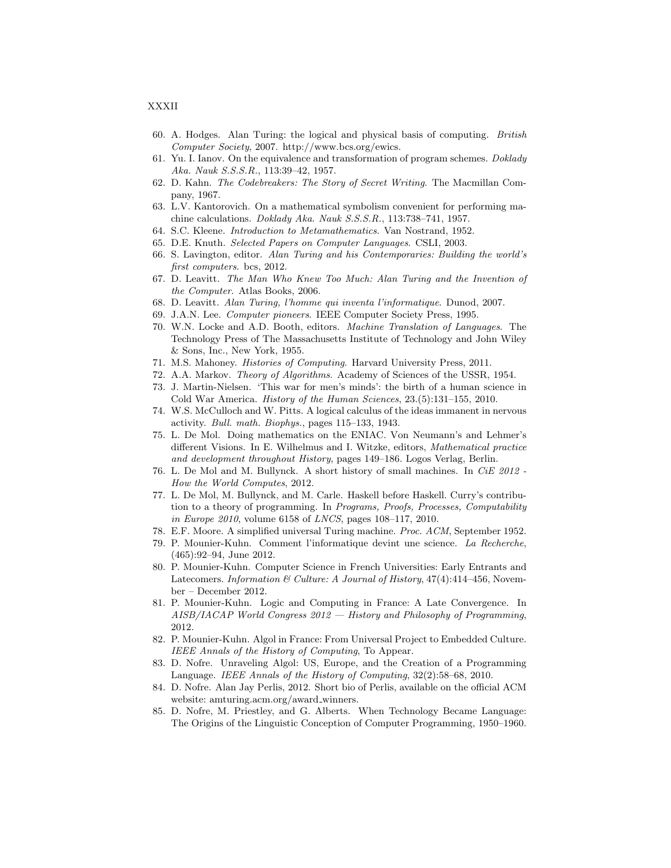#### XXXII

- 60. A. Hodges. Alan Turing: the logical and physical basis of computing. British Computer Society, 2007. http://www.bcs.org/ewics.
- 61. Yu. I. Ianov. On the equivalence and transformation of program schemes. Doklady Aka. Nauk S.S.S.R., 113:39–42, 1957.
- 62. D. Kahn. The Codebreakers: The Story of Secret Writing. The Macmillan Company, 1967.
- 63. L.V. Kantorovich. On a mathematical symbolism convenient for performing machine calculations. Doklady Aka. Nauk S.S.S.R., 113:738–741, 1957.
- 64. S.C. Kleene. Introduction to Metamathematics. Van Nostrand, 1952.
- 65. D.E. Knuth. Selected Papers on Computer Languages. CSLI, 2003.
- 66. S. Lavington, editor. Alan Turing and his Contemporaries: Building the world's first computers. bcs, 2012.
- 67. D. Leavitt. The Man Who Knew Too Much: Alan Turing and the Invention of the Computer. Atlas Books, 2006.
- 68. D. Leavitt. Alan Turing, l'homme qui inventa l'informatique. Dunod, 2007.
- 69. J.A.N. Lee. Computer pioneers. IEEE Computer Society Press, 1995.
- 70. W.N. Locke and A.D. Booth, editors. Machine Translation of Languages. The Technology Press of The Massachusetts Institute of Technology and John Wiley & Sons, Inc., New York, 1955.
- 71. M.S. Mahoney. Histories of Computing. Harvard University Press, 2011.
- 72. A.A. Markov. Theory of Algorithms. Academy of Sciences of the USSR, 1954.
- 73. J. Martin-Nielsen. 'This war for men's minds': the birth of a human science in Cold War America. History of the Human Sciences, 23.(5):131–155, 2010.
- 74. W.S. McCulloch and W. Pitts. A logical calculus of the ideas immanent in nervous activity. Bull. math. Biophys., pages 115–133, 1943.
- 75. L. De Mol. Doing mathematics on the ENIAC. Von Neumann's and Lehmer's different Visions. In E. Wilhelmus and I. Witzke, editors, Mathematical practice and development throughout History, pages 149–186. Logos Verlag, Berlin.
- 76. L. De Mol and M. Bullynck. A short history of small machines. In CiE 2012 How the World Computes, 2012.
- 77. L. De Mol, M. Bullynck, and M. Carle. Haskell before Haskell. Curry's contribution to a theory of programming. In Programs, Proofs, Processes, Computability in Europe 2010, volume 6158 of LNCS, pages 108–117, 2010.
- 78. E.F. Moore. A simplified universal Turing machine. Proc. ACM, September 1952.
- 79. P. Mounier-Kuhn. Comment l'informatique devint une science. La Recherche, (465):92–94, June 2012.
- 80. P. Mounier-Kuhn. Computer Science in French Universities: Early Entrants and Latecomers. Information & Culture: A Journal of History, 47(4):414–456, November – December 2012.
- 81. P. Mounier-Kuhn. Logic and Computing in France: A Late Convergence. In AISB/IACAP World Congress 2012 — History and Philosophy of Programming, 2012.
- 82. P. Mounier-Kuhn. Algol in France: From Universal Project to Embedded Culture. IEEE Annals of the History of Computing, To Appear.
- 83. D. Nofre. Unraveling Algol: US, Europe, and the Creation of a Programming Language. IEEE Annals of the History of Computing, 32(2):58–68, 2010.
- 84. D. Nofre. Alan Jay Perlis, 2012. Short bio of Perlis, available on the official ACM website: amturing.acm.org/award\_winners.
- 85. D. Nofre, M. Priestley, and G. Alberts. When Technology Became Language: The Origins of the Linguistic Conception of Computer Programming, 1950–1960.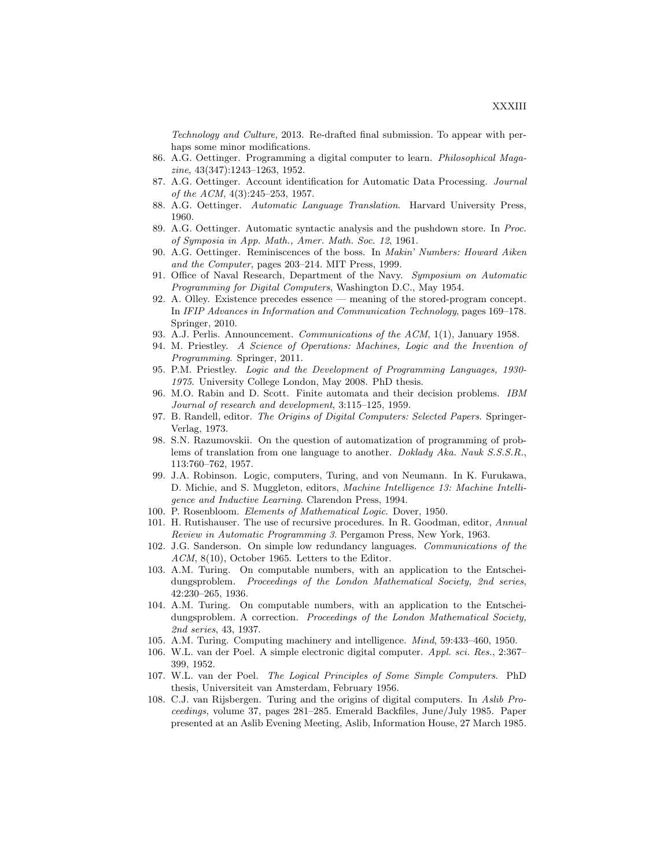Technology and Culture, 2013. Re-drafted final submission. To appear with perhaps some minor modifications.

- 86. A.G. Oettinger. Programming a digital computer to learn. Philosophical Magazine, 43(347):1243–1263, 1952.
- 87. A.G. Oettinger. Account identification for Automatic Data Processing. Journal of the ACM, 4(3):245–253, 1957.
- 88. A.G. Oettinger. Automatic Language Translation. Harvard University Press, 1960.
- 89. A.G. Oettinger. Automatic syntactic analysis and the pushdown store. In Proc. of Symposia in App. Math., Amer. Math. Soc. 12, 1961.
- 90. A.G. Oettinger. Reminiscences of the boss. In Makin' Numbers: Howard Aiken and the Computer, pages 203–214. MIT Press, 1999.
- 91. Office of Naval Research, Department of the Navy. Symposium on Automatic Programming for Digital Computers, Washington D.C., May 1954.
- 92. A. Olley. Existence precedes essence meaning of the stored-program concept. In IFIP Advances in Information and Communication Technology, pages 169–178. Springer, 2010.
- 93. A.J. Perlis. Announcement. Communications of the ACM, 1(1), January 1958.
- 94. M. Priestley. A Science of Operations: Machines, Logic and the Invention of Programming. Springer, 2011.
- 95. P.M. Priestley. Logic and the Development of Programming Languages, 1930- 1975. University College London, May 2008. PhD thesis.
- 96. M.O. Rabin and D. Scott. Finite automata and their decision problems. IBM Journal of research and development, 3:115–125, 1959.
- 97. B. Randell, editor. The Origins of Digital Computers: Selected Papers. Springer-Verlag, 1973.
- 98. S.N. Razumovskii. On the question of automatization of programming of problems of translation from one language to another. Doklady Aka. Nauk S.S.S.R., 113:760–762, 1957.
- 99. J.A. Robinson. Logic, computers, Turing, and von Neumann. In K. Furukawa, D. Michie, and S. Muggleton, editors, *Machine Intelligence 13: Machine Intelli*gence and Inductive Learning. Clarendon Press, 1994.
- 100. P. Rosenbloom. Elements of Mathematical Logic. Dover, 1950.
- 101. H. Rutishauser. The use of recursive procedures. In R. Goodman, editor, Annual Review in Automatic Programming 3. Pergamon Press, New York, 1963.
- 102. J.G. Sanderson. On simple low redundancy languages. Communications of the ACM, 8(10), October 1965. Letters to the Editor.
- 103. A.M. Turing. On computable numbers, with an application to the Entscheidungsproblem. Proceedings of the London Mathematical Society, 2nd series, 42:230–265, 1936.
- 104. A.M. Turing. On computable numbers, with an application to the Entscheidungsproblem. A correction. Proceedings of the London Mathematical Society, 2nd series, 43, 1937.
- 105. A.M. Turing. Computing machinery and intelligence. Mind, 59:433–460, 1950.
- 106. W.L. van der Poel. A simple electronic digital computer. Appl. sci. Res., 2:367– 399, 1952.
- 107. W.L. van der Poel. The Logical Principles of Some Simple Computers. PhD thesis, Universiteit van Amsterdam, February 1956.
- 108. C.J. van Rijsbergen. Turing and the origins of digital computers. In Aslib Proceedings, volume 37, pages 281–285. Emerald Backfiles, June/July 1985. Paper presented at an Aslib Evening Meeting, Aslib, Information House, 27 March 1985.